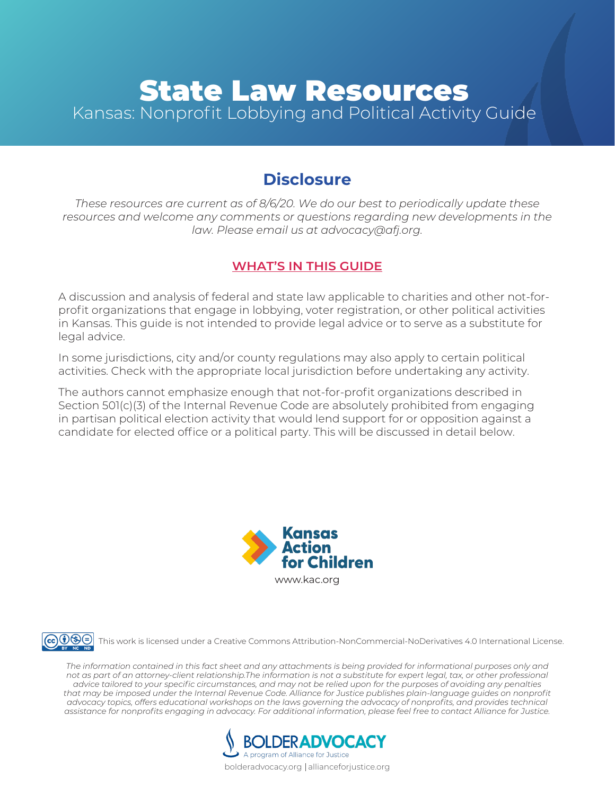# **State Law Resources** Kansas: Nonprofit Lobbying and Political Activity Guide

# **Disclosure**

*These resources are current as of 8/6/20. We do our best to periodically update these*  resources and welcome any comments or questions regarding new developments in the *law. Please email us at [advocacy@afj.org.](mailto:advocacy@afj.org)*

#### **WHAT'S IN THIS GUIDE**

A discussion and analysis of federal and state law applicable to charities and other not-forprofit organizations that engage in lobbying, voter registration, or other political activities in Kansas. This guide is not intended to provide legal advice or to serve as a substitute for legal advice.

In some jurisdictions, city and/or county regulations may also apply to certain political activities. Check with the appropriate local jurisdiction before undertaking any activity.

The authors cannot emphasize enough that not-for-profit organizations described in Section 501(c)(3) of the Internal Revenue Code are absolutely prohibited from engaging in partisan political election activity that would lend support for or opposition against a candidate for elected office or a political party. This will be discussed in detail below.





This work is licensed under a Creative Commons Attribution-NonCommercial-NoDerivatives 4.0 International License.

*The information contained in this fact sheet and any attachments is being provided for informational purposes only and not as part of an attorney-client relationship.The information is not a substitute for expert legal, tax, or other professional advice tailored to your specific circumstances, and may not be relied upon for the purposes of avoiding any penalties that may be imposed under the Internal Revenue Code. Alliance for Justice publishes plain-language guides on nonprofit advocacy topics, offers educational workshops on the laws governing the advocacy of nonprofits, and provides technical assistance for nonprofits engaging in advocacy. For additional information, please feel free to contact Alliance for Justice.*



bolderadvocacy.org | allianceforjustice.org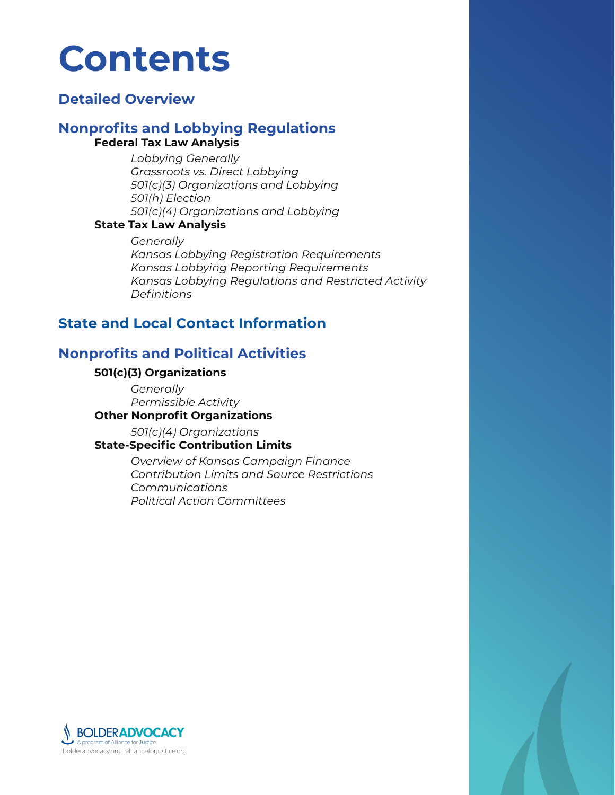# **Contents**

# **[Detailed Overview](#page-2-0)**

#### **[Nonprofits and Lobbying Regulations](#page-3-0) Federal Tax Law Analysis**

*[Lobbying Generally](#page-3-1) [Grassroots vs. Direct Lobbying](#page-3-2) [501\(c\)\(3\) Organizations and Lobbying](#page-4-0) [501\(h\) Election](#page-5-0) [501\(c\)\(4\) Organizations and Lobbying](#page-7-0)*

#### **[State Tax Law Analysis](#page-8-0)**

*[Generally](#page-8-1) [Kansas Lobbying Registration Requirements](#page-8-2) [Kansas Lobbying Reporting Requirements](#page-10-0) [Kansas Lobbying Regulations and Restricted Activity](#page-11-0) [Definitions](#page-12-0)*

# **[State and Local Contact Information](#page-17-0)**

# **[Nonprofits and Political Activities](#page-18-0)**

#### **[501\(c\)\(3\) Organizations](#page-18-1)**

*[Generally](#page-18-2) [Permissible Activity](#page-19-0)*

#### **[Other Nonprofit Organizations](#page-24-0)**

 *[501\(c\)\(4\) Organizations](#page-24-1)* 

**[State-Specific Contribution Limits](#page-24-2)**

*[Overview of Kansas Campaign Finance](#page-24-3) [Contribution Limits and Source Restrictions](#page-25-0) [Communications](#page-27-0) [Political Action Committees](#page-29-0)*

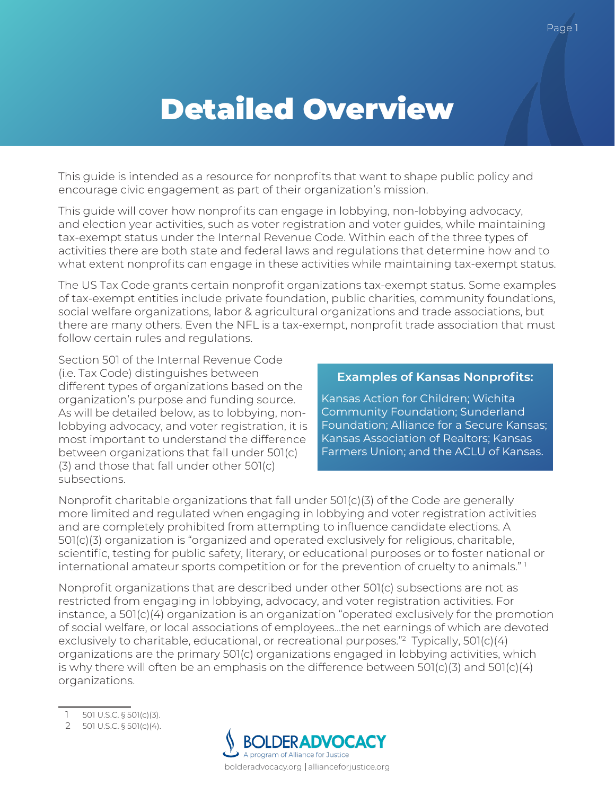# <span id="page-2-0"></span>Detailed Overview

This guide is intended as a resource for nonprofits that want to shape public policy and encourage civic engagement as part of their organization's mission.

This guide will cover how nonprofits can engage in lobbying, non-lobbying advocacy, and election year activities, such as voter registration and voter guides, while maintaining tax-exempt status under the Internal Revenue Code. Within each of the three types of activities there are both state and federal laws and regulations that determine how and to what extent nonprofits can engage in these activities while maintaining tax-exempt status.

The US Tax Code grants certain nonprofit organizations tax-exempt status. Some examples of tax-exempt entities include private foundation, public charities, community foundations, social welfare organizations, labor & agricultural organizations and trade associations, but there are many others. Even the NFL is a tax-exempt, nonprofit trade association that must follow certain rules and regulations.

Section 501 of the Internal Revenue Code (i.e. Tax Code) distinguishes between different types of organizations based on the organization's purpose and funding source. As will be detailed below, as to lobbying, nonlobbying advocacy, and voter registration, it is most important to understand the difference between organizations that fall under 501(c) (3) and those that fall under other 501(c) subsections.

#### **Examples of Kansas Nonprofits:**

Kansas Action for Children; Wichita Community Foundation; Sunderland Foundation; Alliance for a Secure Kansas; Kansas Association of Realtors; Kansas Farmers Union; and the ACLU of Kansas.

Nonprofit charitable organizations that fall under 501(c)(3) of the Code are generally more limited and regulated when engaging in lobbying and voter registration activities and are completely prohibited from attempting to influence candidate elections. A 501(c)(3) organization is "organized and operated exclusively for religious, charitable, scientific, testing for public safety, literary, or educational purposes or to foster national or international amateur sports competition or for the prevention of cruelty to animals." 1

Nonprofit organizations that are described under other 501(c) subsections are not as restricted from engaging in lobbying, advocacy, and voter registration activities. For instance, a 501(c)(4) organization is an organization "operated exclusively for the promotion of social welfare, or local associations of employees…the net earnings of which are devoted exclusively to charitable, educational, or recreational purposes."2 Typically, 501(c)(4) organizations are the primary 501(c) organizations engaged in lobbying activities, which is why there will often be an emphasis on the difference between  $501(c)(3)$  and  $501(c)(4)$ organizations.

- 501 U.S.C. § 501(c)(3).
- 2 501 U.S.C. § 501(c)(4).

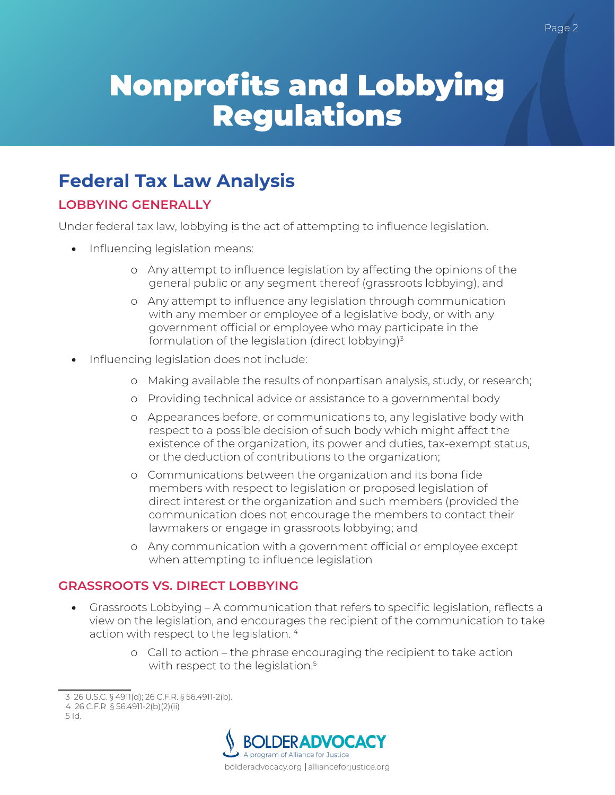# <span id="page-3-0"></span>Nonprofits and Lobbying Regulations

# **Federal Tax Law Analysis**

# <span id="page-3-1"></span>**LOBBYING GENERALLY**

Under federal tax law, lobbying is the act of attempting to influence legislation.

- Influencing legislation means:
	- o Any attempt to influence legislation by affecting the opinions of the general public or any segment thereof (grassroots lobbying), and
	- o Any attempt to influence any legislation through communication with any member or employee of a legislative body, or with any government official or employee who may participate in the formulation of the legislation (direct lobbying)<sup>3</sup>
- Influencing legislation does not include:
	- o Making available the results of nonpartisan analysis, study, or research;
	- o Providing technical advice or assistance to a governmental body
	- o Appearances before, or communications to, any legislative body with respect to a possible decision of such body which might affect the existence of the organization, its power and duties, tax-exempt status, or the deduction of contributions to the organization;
	- o Communications between the organization and its bona fide members with respect to legislation or proposed legislation of direct interest or the organization and such members (provided the communication does not encourage the members to contact their lawmakers or engage in grassroots lobbying; and
	- o Any communication with a government official or employee except when attempting to influence legislation

# <span id="page-3-2"></span>**GRASSROOTS VS. DIRECT LOBBYING**

- Grassroots Lobbying A communication that refers to specific legislation, reflects a view on the legislation, and encourages the recipient of the communication to take action with respect to the legislation. 4
	- o Call to action the phrase encouraging the recipient to take action with respect to the legislation.<sup>5</sup>



<sup>3 26</sup> U.S.C. § 4911(d); 26 C.F.R. § 56.4911-2(b).

<sup>4 26</sup> C.F.R § 56.4911-2(b)(2)(ii)

<sup>5</sup> Id.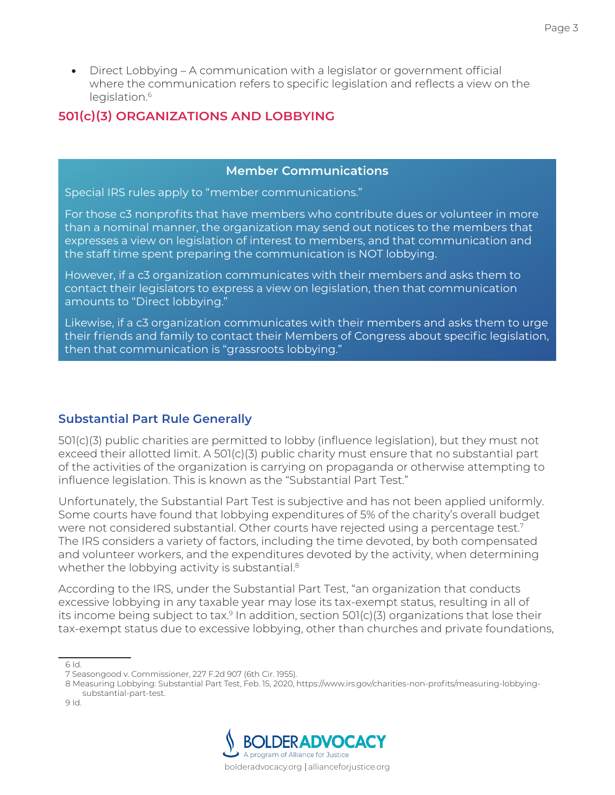• Direct Lobbying – A communication with a legislator or government official where the communication refers to specific legislation and reflects a view on the legislation.<sup>6</sup>

## <span id="page-4-0"></span>**501(c)(3) ORGANIZATIONS AND LOBBYING**

#### **Member Communications**

Special IRS rules apply to "member communications."

For those c3 nonprofits that have members who contribute dues or volunteer in more than a nominal manner, the organization may send out notices to the members that expresses a view on legislation of interest to members, and that communication and the staff time spent preparing the communication is NOT lobbying.

However, if a c3 organization communicates with their members and asks them to contact their legislators to express a view on legislation, then that communication amounts to "Direct lobbying."

Likewise, if a c3 organization communicates with their members and asks them to urge their friends and family to contact their Members of Congress about specific legislation, then that communication is "grassroots lobbying."

#### **Substantial Part Rule Generally**

501(c)(3) public charities are permitted to lobby (influence legislation), but they must not exceed their allotted limit. A 501(c)(3) public charity must ensure that no substantial part of the activities of the organization is carrying on propaganda or otherwise attempting to influence legislation. This is known as the "Substantial Part Test."

Unfortunately, the Substantial Part Test is subjective and has not been applied uniformly. Some courts have found that lobbying expenditures of 5% of the charity's overall budget were not considered substantial. Other courts have rejected using a percentage test.7 The IRS considers a variety of factors, including the time devoted, by both compensated and volunteer workers, and the expenditures devoted by the activity, when determining whether the lobbying activity is substantial.<sup>8</sup>

According to the IRS, under the Substantial Part Test, "an organization that conducts excessive lobbying in any taxable year may lose its tax-exempt status, resulting in all of its income being subject to tax. $9$  In addition, section 501(c)(3) organizations that lose their tax-exempt status due to excessive lobbying, other than churches and private foundations,



<sup>6</sup> Id.

<sup>7</sup> Seasongood v. Commissioner, 227 F.2d 907 (6th Cir. 1955).

<sup>8</sup> Measuring Lobbying: Substantial Part Test, Feb. 15, 2020, https://www.irs.gov/charities-non-profits/measuring-lobbyingsubstantial-part-test.

<sup>9</sup> Id.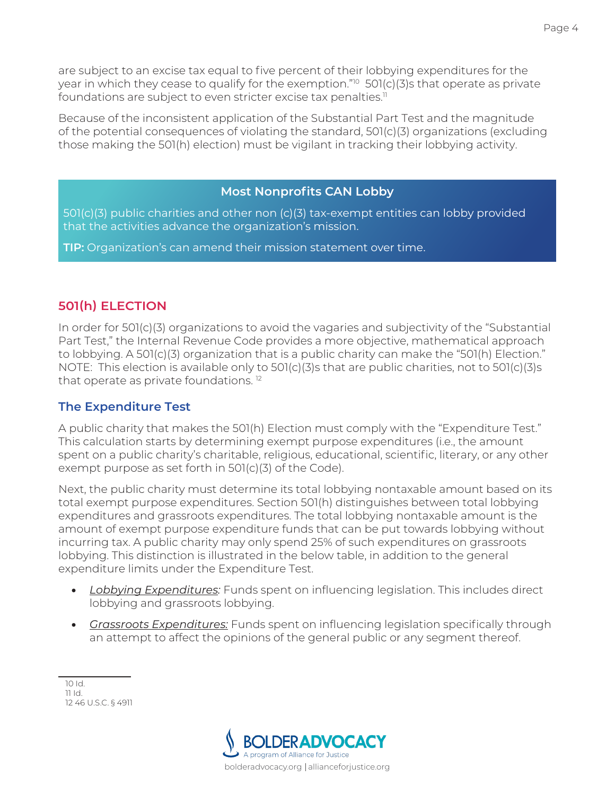are subject to an excise tax equal to five percent of their lobbying expenditures for the year in which they cease to qualify for the exemption."<sup>10</sup> 501(c)(3)s that operate as private foundations are subject to even stricter excise tax penalties.<sup>11</sup>

<span id="page-5-0"></span>Because of the inconsistent application of the Substantial Part Test and the magnitude of the potential consequences of violating the standard, 501(c)(3) organizations (excluding those making the 501(h) election) must be vigilant in tracking their lobbying activity.

#### **Most Nonprofits CAN Lobby**

501(c)(3) public charities and other non (c)(3) tax-exempt entities can lobby provided that the activities advance the organization's mission.

**TIP:** Organization's can amend their mission statement over time.

# **501(h) ELECTION**

In order for 501(c)(3) organizations to avoid the vagaries and subjectivity of the "Substantial Part Test," the Internal Revenue Code provides a more objective, mathematical approach to lobbying. A 501(c)(3) organization that is a public charity can make the "501(h) Election." NOTE: This election is available only to 501(c)(3)s that are public charities, not to 501(c)(3)s that operate as private foundations. 12

#### **The Expenditure Test**

A public charity that makes the 501(h) Election must comply with the "Expenditure Test." This calculation starts by determining exempt purpose expenditures (i.e., the amount spent on a public charity's charitable, religious, educational, scientific, literary, or any other exempt purpose as set forth in 501(c)(3) of the Code).

Next, the public charity must determine its total lobbying nontaxable amount based on its total exempt purpose expenditures. Section 501(h) distinguishes between total lobbying expenditures and grassroots expenditures. The total lobbying nontaxable amount is the amount of exempt purpose expenditure funds that can be put towards lobbying without incurring tax. A public charity may only spend 25% of such expenditures on grassroots lobbying. This distinction is illustrated in the below table, in addition to the general expenditure limits under the Expenditure Test.

- *Lobbying Expenditures:* Funds spent on influencing legislation. This includes direct lobbying and grassroots lobbying.
- *Grassroots Expenditures:* Funds spent on influencing legislation specifically through an attempt to affect the opinions of the general public or any segment thereof.



<sup>10</sup> Id. 11 Id. 12 46 U.S.C. § 4911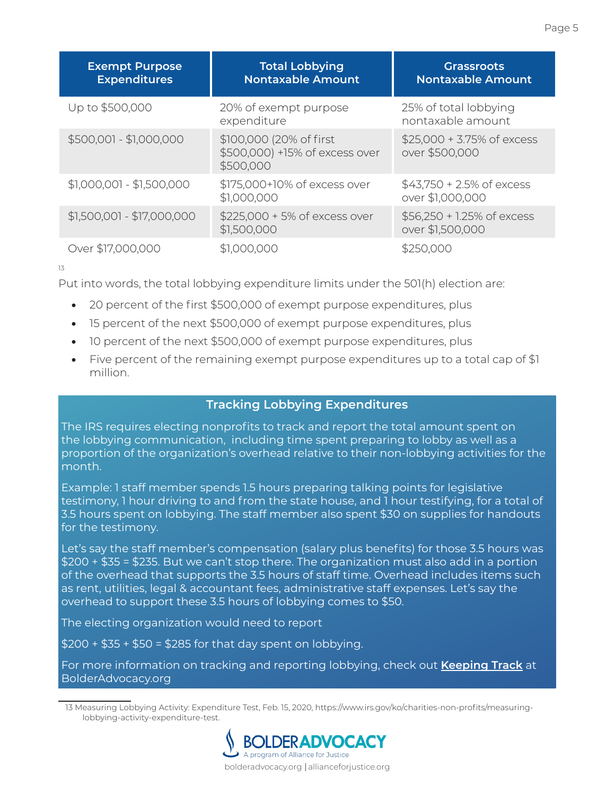| <b>Exempt Purpose</b><br><b>Expenditures</b> | <b>Total Lobbying</b><br><b>Nontaxable Amount</b>                      | <b>Grassroots</b><br><b>Nontaxable Amount</b>    |  |
|----------------------------------------------|------------------------------------------------------------------------|--------------------------------------------------|--|
| Up to \$500,000                              | 20% of exempt purpose<br>expenditure                                   | 25% of total lobbying<br>nontaxable amount       |  |
| \$500,001 - \$1,000,000                      | \$100,000 (20% of first<br>\$500,000) +15% of excess over<br>\$500,000 | $$25,000 + 3.75\%$ of excess<br>over \$500,000   |  |
| $$1,000,001 - $1,500,000$                    | \$175,000+10% of excess over<br>\$1,000,000                            | $$43,750 + 2.5\%$ of excess<br>over \$1,000,000  |  |
| $$1,500,001 - $17,000,000$                   | \$225,000 + 5% of excess over<br>\$1,500,000                           | $$56,250 + 1.25\%$ of excess<br>over \$1,500,000 |  |
| Over \$17,000,000                            | \$1,000,000                                                            | \$250,000                                        |  |

13

Put into words, the total lobbying expenditure limits under the 501(h) election are:

- 20 percent of the first \$500,000 of exempt purpose expenditures, plus
- 15 percent of the next \$500,000 of exempt purpose expenditures, plus
- 10 percent of the next \$500,000 of exempt purpose expenditures, plus
- Five percent of the remaining exempt purpose expenditures up to a total cap of \$1 million.

#### **Tracking Lobbying Expenditures**

The IRS requires electing nonprofits to track and report the total amount spent on the lobbying communication, including time spent preparing to lobby as well as a proportion of the organization's overhead relative to their non-lobbying activities for the month.

Example: 1 staff member spends 1.5 hours preparing talking points for legislative testimony, 1 hour driving to and from the state house, and 1 hour testifying, for a total of 3.5 hours spent on lobbying. The staff member also spent \$30 on supplies for handouts for the testimony.

Let's say the staff member's compensation (salary plus benefits) for those 3.5 hours was \$200 + \$35 = \$235. But we can't stop there. The organization must also add in a portion of the overhead that supports the 3.5 hours of staff time. Overhead includes items such as rent, utilities, legal & accountant fees, administrative staff expenses. Let's say the overhead to support these 3.5 hours of lobbying comes to \$50.

The electing organization would need to report

\$200 + \$35 + \$50 = \$285 for that day spent on lobbying.

For more information on tracking and reporting lobbying, check out **[Keeping Track](https://bolderadvocacy.org/resource/keeping-track-a-guide-to-recordkeeping-for-advocacy-charities/)** at BolderAdvocacy.org

<sup>13</sup> Measuring Lobbying Activity: Expenditure Test, Feb. 15, 2020, https://www.irs.gov/ko/charities-non-profits/measuringlobbying-activity-expenditure-test.

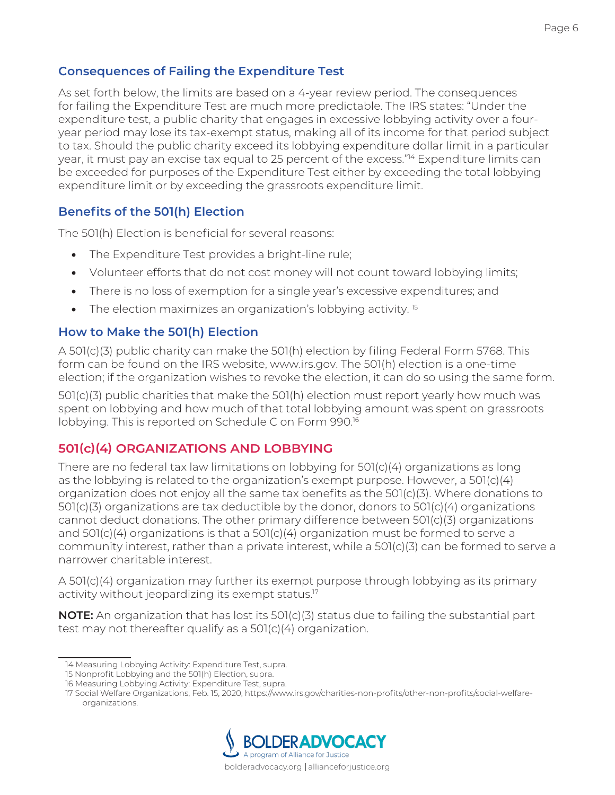As set forth below, the limits are based on a 4-year review period. The consequences for failing the Expenditure Test are much more predictable. The IRS states: "Under the expenditure test, a public charity that engages in excessive lobbying activity over a fouryear period may lose its tax-exempt status, making all of its income for that period subject to tax. Should the public charity exceed its lobbying expenditure dollar limit in a particular year, it must pay an excise tax equal to 25 percent of the excess."<sup>14</sup> Expenditure limits can be exceeded for purposes of the Expenditure Test either by exceeding the total lobbying expenditure limit or by exceeding the grassroots expenditure limit.

# **Benefits of the 501(h) Election**

The 501(h) Election is beneficial for several reasons:

- The Expenditure Test provides a bright-line rule;
- Volunteer efforts that do not cost money will not count toward lobbying limits;
- There is no loss of exemption for a single year's excessive expenditures; and
- The election maximizes an organization's lobbying activity.<sup>15</sup>

# **How to Make the 501(h) Election**

A 501(c)(3) public charity can make the 501(h) election by filing Federal Form 5768. This form can be found on the IRS website, www.irs.gov. The 501(h) election is a one-time election; if the organization wishes to revoke the election, it can do so using the same form.

501(c)(3) public charities that make the 501(h) election must report yearly how much was spent on lobbying and how much of that total lobbying amount was spent on grassroots lobbying. This is reported on Schedule C on Form 990.16

# <span id="page-7-0"></span>**501(c)(4) ORGANIZATIONS AND LOBBYING**

There are no federal tax law limitations on lobbying for 501(c)(4) organizations as long as the lobbying is related to the organization's exempt purpose. However, a 501(c)(4) organization does not enjoy all the same tax benefits as the 501(c)(3). Where donations to 501(c)(3) organizations are tax deductible by the donor, donors to 501(c)(4) organizations cannot deduct donations. The other primary difference between 501(c)(3) organizations and  $501(c)(4)$  organizations is that a  $501(c)(4)$  organization must be formed to serve a community interest, rather than a private interest, while a 501(c)(3) can be formed to serve a narrower charitable interest.

A 501(c)(4) organization may further its exempt purpose through lobbying as its primary activity without jeopardizing its exempt status.<sup>17</sup>

**NOTE:** An organization that has lost its 501(c)(3) status due to failing the substantial part test may not thereafter qualify as a 501(c)(4) organization.

<sup>17</sup> Social Welfare Organizations, Feb. 15, 2020, https://www.irs.gov/charities-non-profits/other-non-profits/social-welfareorganizations.



<sup>14</sup> Measuring Lobbying Activity: Expenditure Test, supra.

<sup>15</sup> Nonprofit Lobbying and the 501(h) Election, supra.

<sup>16</sup> Measuring Lobbying Activity: Expenditure Test, supra.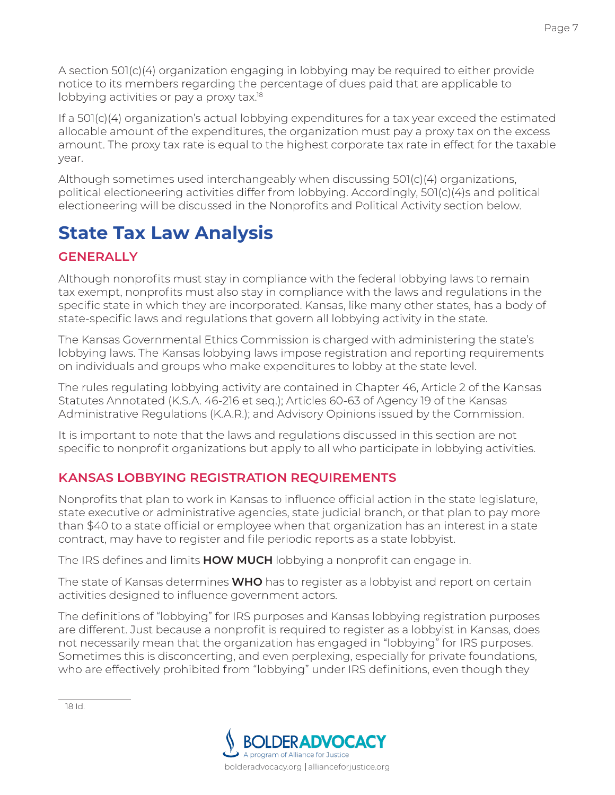A section 501(c)(4) organization engaging in lobbying may be required to either provide notice to its members regarding the percentage of dues paid that are applicable to lobbying activities or pay a proxy tax.18

If a 501(c)(4) organization's actual lobbying expenditures for a tax year exceed the estimated allocable amount of the expenditures, the organization must pay a proxy tax on the excess amount. The proxy tax rate is equal to the highest corporate tax rate in effect for the taxable year.

Although sometimes used interchangeably when discussing 501(c)(4) organizations, political electioneering activities differ from lobbying. Accordingly, 501(c)(4)s and political electioneering will be discussed in the Nonprofits and Political Activity section below.

# <span id="page-8-0"></span>**State Tax Law Analysis**

# <span id="page-8-1"></span>**GENERALLY**

Although nonprofits must stay in compliance with the federal lobbying laws to remain tax exempt, nonprofits must also stay in compliance with the laws and regulations in the specific state in which they are incorporated. Kansas, like many other states, has a body of state-specific laws and regulations that govern all lobbying activity in the state.

The Kansas Governmental Ethics Commission is charged with administering the state's lobbying laws. The Kansas lobbying laws impose registration and reporting requirements on individuals and groups who make expenditures to lobby at the state level.

The rules regulating lobbying activity are contained in Chapter 46, Article 2 of the Kansas Statutes Annotated (K.S.A. 46-216 et seq.); Articles 60-63 of Agency 19 of the Kansas Administrative Regulations (K.A.R.); and Advisory Opinions issued by the Commission.

It is important to note that the laws and regulations discussed in this section are not specific to nonprofit organizations but apply to all who participate in lobbying activities.

# <span id="page-8-2"></span>**KANSAS LOBBYING REGISTRATION REQUIREMENTS**

Nonprofits that plan to work in Kansas to influence official action in the state legislature, state executive or administrative agencies, state judicial branch, or that plan to pay more than \$40 to a state official or employee when that organization has an interest in a state contract, may have to register and file periodic reports as a state lobbyist.

The IRS defines and limits **HOW MUCH** lobbying a nonprofit can engage in.

The state of Kansas determines **WHO** has to register as a lobbyist and report on certain activities designed to influence government actors.

The definitions of "lobbying" for IRS purposes and Kansas lobbying registration purposes are different. Just because a nonprofit is required to register as a lobbyist in Kansas, does not necessarily mean that the organization has engaged in "lobbying" for IRS purposes. Sometimes this is disconcerting, and even perplexing, especially for private foundations, who are effectively prohibited from "lobbying" under IRS definitions, even though they

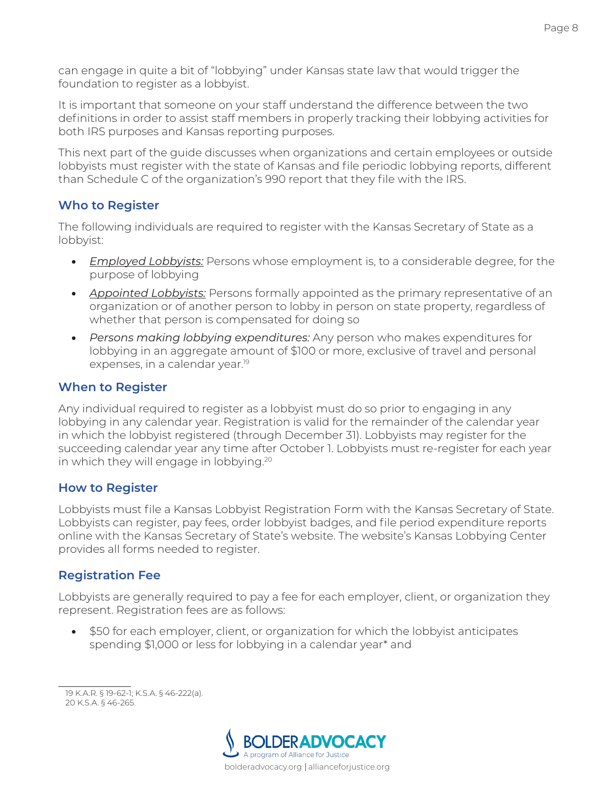can engage in quite a bit of "lobbying" under Kansas state law that would trigger the foundation to register as a lobbyist.

It is important that someone on your staff understand the difference between the two definitions in order to assist staff members in properly tracking their lobbying activities for both IRS purposes and Kansas reporting purposes.

This next part of the guide discusses when organizations and certain employees or outside lobbyists must register with the state of Kansas and file periodic lobbying reports, different than Schedule C of the organization's 990 report that they file with the IRS.

#### **Who to Register**

The following individuals are required to register with the Kansas Secretary of State as a lobbyist:

- *Employed Lobbyists:* Persons whose employment is, to a considerable degree, for the purpose of lobbying
- *Appointed Lobbyists:* Persons formally appointed as the primary representative of an organization or of another person to lobby in person on state property, regardless of whether that person is compensated for doing so
- *Persons making lobbying expenditures:* Any person who makes expenditures for lobbying in an aggregate amount of \$100 or more, exclusive of travel and personal expenses, in a calendar year.<sup>19</sup>

### **When to Register**

Any individual required to register as a lobbyist must do so prior to engaging in any lobbying in any calendar year. Registration is valid for the remainder of the calendar year in which the lobbyist registered (through December 31). Lobbyists may register for the succeeding calendar year any time after October 1. Lobbyists must re-register for each year in which they will engage in lobbying.20

#### **How to Register**

Lobbyists must file a Kansas Lobbyist Registration Form with the Kansas Secretary of State. Lobbyists can register, pay fees, order lobbyist badges, and file period expenditure reports online with the Kansas Secretary of State's website. The website's Kansas Lobbying Center provides all forms needed to register.

#### **Registration Fee**

Lobbyists are generally required to pay a fee for each employer, client, or organization they represent. Registration fees are as follows:

• \$50 for each employer, client, or organization for which the lobbyist anticipates spending \$1,000 or less for lobbying in a calendar year\* and

19 K.A.R. § 19-62-1; K.S.A. § 46-222(a). 20 K.S.A. § 46-265.

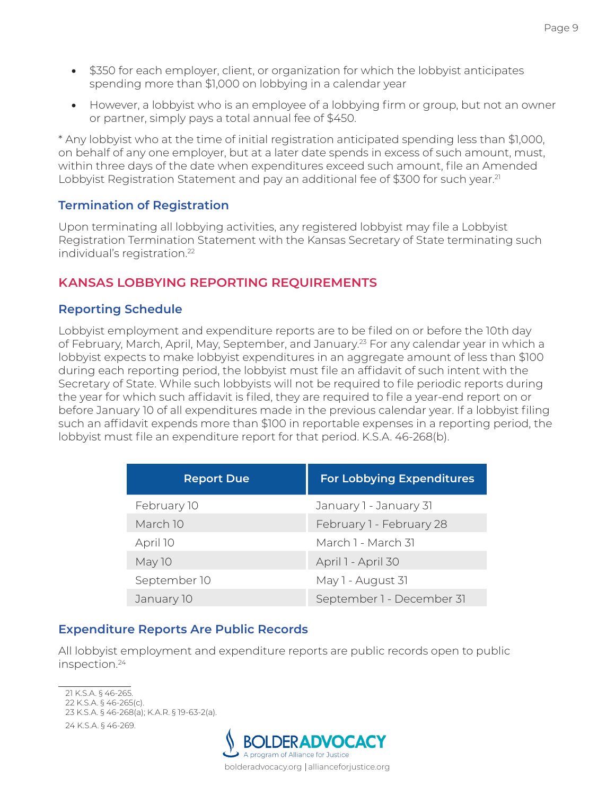- \$350 for each employer, client, or organization for which the lobbyist anticipates spending more than \$1,000 on lobbying in a calendar year
- However, a lobbyist who is an employee of a lobbying firm or group, but not an owner or partner, simply pays a total annual fee of \$450.

\* Any lobbyist who at the time of initial registration anticipated spending less than \$1,000, on behalf of any one employer, but at a later date spends in excess of such amount, must, within three days of the date when expenditures exceed such amount, file an Amended Lobbyist Registration Statement and pay an additional fee of \$300 for such year.<sup>21</sup>

#### **Termination of Registration**

Upon terminating all lobbying activities, any registered lobbyist may file a Lobbyist Registration Termination Statement with the Kansas Secretary of State terminating such individual's registration.<sup>22</sup>

### <span id="page-10-0"></span>**KANSAS LOBBYING REPORTING REQUIREMENTS**

#### **Reporting Schedule**

Lobbyist employment and expenditure reports are to be filed on or before the 10th day of February, March, April, May, September, and January.<sup>23</sup> For any calendar year in which a lobbyist expects to make lobbyist expenditures in an aggregate amount of less than \$100 during each reporting period, the lobbyist must file an affidavit of such intent with the Secretary of State. While such lobbyists will not be required to file periodic reports during the year for which such affidavit is filed, they are required to file a year-end report on or before January 10 of all expenditures made in the previous calendar year. If a lobbyist filing such an affidavit expends more than \$100 in reportable expenses in a reporting period, the lobbyist must file an expenditure report for that period. K.S.A. 46-268(b).

| <b>Report Due</b> | <b>For Lobbying Expenditures</b> |  |  |
|-------------------|----------------------------------|--|--|
| February 10       | January 1 - January 31           |  |  |
| March 10          | February 1 - February 28         |  |  |
| April 10          | March 1 - March 31               |  |  |
| May 10            | April 1 - April 30               |  |  |
| September 10      | May 1 - August 31                |  |  |
| January 10        | September 1 - December 31        |  |  |

#### **Expenditure Reports Are Public Records**

All lobbyist employment and expenditure reports are public records open to public inspection.24

<sup>21</sup> K.S.A. § 46-265. 22 K.S.A. § 46-265(c). 23 K.S.A. § 46-268(a); K.A.R. § 19-63-2(a). 24 K.S.A. § 46-269.

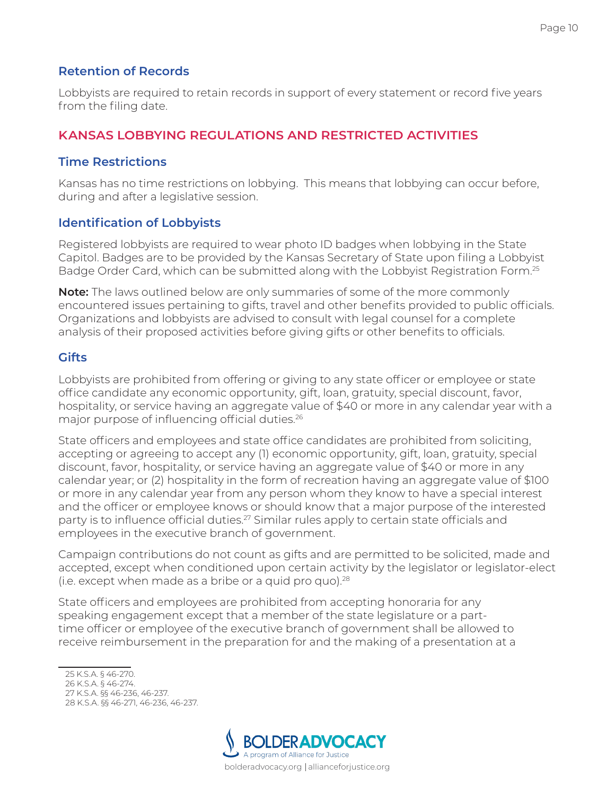#### **Retention of Records**

Lobbyists are required to retain records in support of every statement or record five years from the filing date.

### <span id="page-11-0"></span>**KANSAS LOBBYING REGULATIONS AND RESTRICTED ACTIVITIES**

#### **Time Restrictions**

Kansas has no time restrictions on lobbying. This means that lobbying can occur before, during and after a legislative session.

#### **Identification of Lobbyists**

Registered lobbyists are required to wear photo ID badges when lobbying in the State Capitol. Badges are to be provided by the Kansas Secretary of State upon filing a Lobbyist Badge Order Card, which can be submitted along with the Lobbyist Registration Form.<sup>25</sup>

**Note:** The laws outlined below are only summaries of some of the more commonly encountered issues pertaining to gifts, travel and other benefits provided to public officials. Organizations and lobbyists are advised to consult with legal counsel for a complete analysis of their proposed activities before giving gifts or other benefits to officials.

#### **Gifts**

Lobbyists are prohibited from offering or giving to any state officer or employee or state office candidate any economic opportunity, gift, loan, gratuity, special discount, favor, hospitality, or service having an aggregate value of \$40 or more in any calendar year with a major purpose of influencing official duties.26

State officers and employees and state office candidates are prohibited from soliciting, accepting or agreeing to accept any (1) economic opportunity, gift, loan, gratuity, special discount, favor, hospitality, or service having an aggregate value of \$40 or more in any calendar year; or (2) hospitality in the form of recreation having an aggregate value of \$100 or more in any calendar year from any person whom they know to have a special interest and the officer or employee knows or should know that a major purpose of the interested party is to influence official duties.<sup>27</sup> Similar rules apply to certain state officials and employees in the executive branch of government.

Campaign contributions do not count as gifts and are permitted to be solicited, made and accepted, except when conditioned upon certain activity by the legislator or legislator-elect (i.e. except when made as a bribe or a quid pro quo). $28$ 

State officers and employees are prohibited from accepting honoraria for any speaking engagement except that a member of the state legislature or a parttime officer or employee of the executive branch of government shall be allowed to receive reimbursement in the preparation for and the making of a presentation at a

<sup>25</sup> K.S.A. § 46-270. 26 K.S.A. § 46-274. 27 K.S.A. §§ 46-236, 46-237. 28 K.S.A. §§ 46-271, 46-236, 46-237.

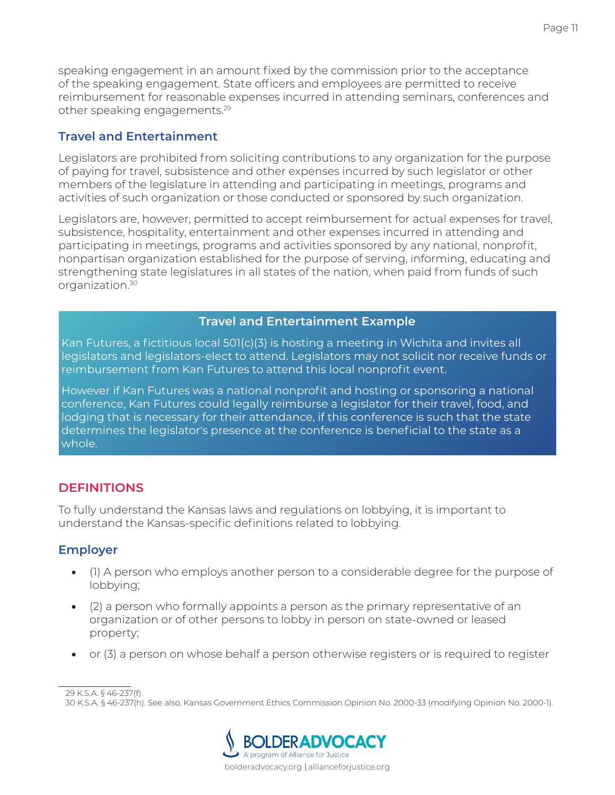speaking engagement in an amount fixed by the commission prior to the acceptance of the speaking engagement. State officers and employees are permitted to receive reimbursement for reasonable expenses incurred in attending seminars, conferences and other speaking engagements.29

## **Travel and Entertainment**

Legislators are prohibited from soliciting contributions to any organization for the purpose of paying for travel, subsistence and other expenses incurred by such legislator or other members of the legislature in attending and participating in meetings, programs and activities of such organization or those conducted or sponsored by such organization.

Legislators are, however, permitted to accept reimbursement for actual expenses for travel, subsistence, hospitality, entertainment and other expenses incurred in attending and participating in meetings, programs and activities sponsored by any national, nonprofit, nonpartisan organization established for the purpose of serving, informing, educating and strengthening state legislatures in all states of the nation, when paid from funds of such organization.30

#### **Travel and Entertainment Example**

Kan Futures, a fictitious local 501(c)(3) is hosting a meeting in Wichita and invites all legislators and legislators-elect to attend. Legislators may not solicit nor receive funds or reimbursement from Kan Futures to attend this local nonprofit event.

However if Kan Futures was a national nonprofit and hosting or sponsoring a national conference, Kan Futures could legally reimburse a legislator for their travel, food, and lodging that is necessary for their attendance, if this conference is such that the state determines the legislator's presence at the conference is beneficial to the state as a whole.

#### <span id="page-12-0"></span>**DEFINITIONS**

To fully understand the Kansas laws and regulations on lobbying, it is important to understand the Kansas-specific definitions related to lobbying.

# **Employer**

- (1) A person who employs another person to a considerable degree for the purpose of lobbying;
- (2) a person who formally appoints a person as the primary representative of an organization or of other persons to lobby in person on state-owned or leased property;
- or (3) a person on whose behalf a person otherwise registers or is required to register

<sup>30</sup> K.S.A. § 46-237(h). See also, Kansas Government Ethics Commission Opinion No. 2000-33 (modifying Opinion No. 2000-1).



<sup>29</sup> K.S.A. § 46-237(f).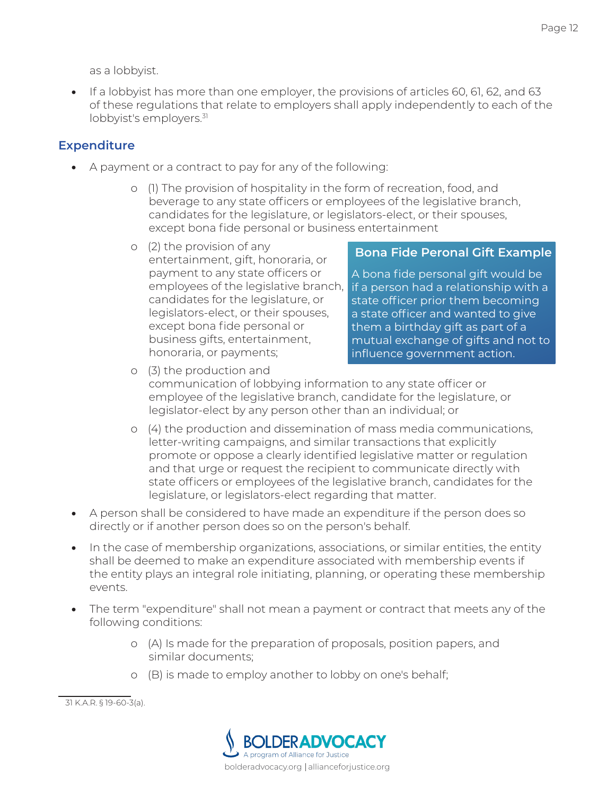as a lobbyist.

• If a lobbyist has more than one employer, the provisions of articles 60, 61, 62, and 63 of these regulations that relate to employers shall apply independently to each of the lobbyist's employers.<sup>31</sup>

## **Expenditure**

- A payment or a contract to pay for any of the following:
	- o (1) The provision of hospitality in the form of recreation, food, and beverage to any state officers or employees of the legislative branch, candidates for the legislature, or legislators-elect, or their spouses, except bona fide personal or business entertainment
	- o (2) the provision of any entertainment, gift, honoraria, or payment to any state officers or employees of the legislative branch, candidates for the legislature, or legislators-elect, or their spouses, except bona fide personal or business gifts, entertainment, honoraria, or payments;

#### **Bona Fide Peronal Gift Example**

A bona fide personal gift would be if a person had a relationship with a state officer prior them becoming a state officer and wanted to give them a birthday gift as part of a mutual exchange of gifts and not to influence government action.

- o (3) the production and communication of lobbying information to any state officer or employee of the legislative branch, candidate for the legislature, or legislator-elect by any person other than an individual; or
- o (4) the production and dissemination of mass media communications, letter-writing campaigns, and similar transactions that explicitly promote or oppose a clearly identified legislative matter or regulation and that urge or request the recipient to communicate directly with state officers or employees of the legislative branch, candidates for the legislature, or legislators-elect regarding that matter.
- A person shall be considered to have made an expenditure if the person does so directly or if another person does so on the person's behalf.
- In the case of membership organizations, associations, or similar entities, the entity shall be deemed to make an expenditure associated with membership events if the entity plays an integral role initiating, planning, or operating these membership events.
- The term "expenditure" shall not mean a payment or contract that meets any of the following conditions:
	- o (A) Is made for the preparation of proposals, position papers, and similar documents;
	- o (B) is made to employ another to lobby on one's behalf;

31 K.A.R. § 19-60-3(a).

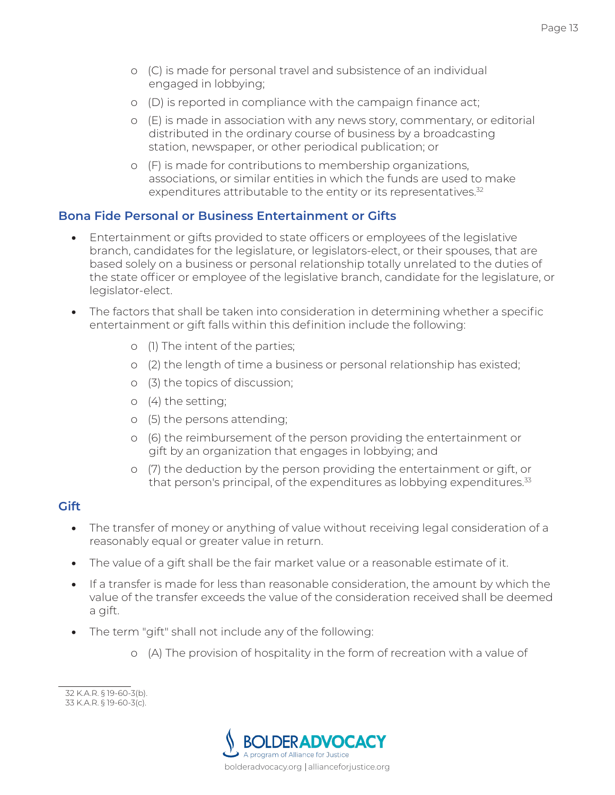- o (C) is made for personal travel and subsistence of an individual engaged in lobbying;
- o (D) is reported in compliance with the campaign finance act;
- o (E) is made in association with any news story, commentary, or editorial distributed in the ordinary course of business by a broadcasting station, newspaper, or other periodical publication; or
- o (F) is made for contributions to membership organizations, associations, or similar entities in which the funds are used to make expenditures attributable to the entity or its representatives.<sup>32</sup>

#### **Bona Fide Personal or Business Entertainment or Gifts**

- Entertainment or gifts provided to state officers or employees of the legislative branch, candidates for the legislature, or legislators-elect, or their spouses, that are based solely on a business or personal relationship totally unrelated to the duties of the state officer or employee of the legislative branch, candidate for the legislature, or legislator-elect.
- The factors that shall be taken into consideration in determining whether a specific entertainment or gift falls within this definition include the following:
	- o (1) The intent of the parties;
	- o (2) the length of time a business or personal relationship has existed;
	- o (3) the topics of discussion;
	- o (4) the setting;
	- o (5) the persons attending;
	- o (6) the reimbursement of the person providing the entertainment or gift by an organization that engages in lobbying; and
	- o (7) the deduction by the person providing the entertainment or gift, or that person's principal, of the expenditures as lobbying expenditures.<sup>33</sup>

#### **Gift**

- The transfer of money or anything of value without receiving legal consideration of a reasonably equal or greater value in return.
- The value of a gift shall be the fair market value or a reasonable estimate of it.
- If a transfer is made for less than reasonable consideration, the amount by which the value of the transfer exceeds the value of the consideration received shall be deemed a gift.
- The term "gift" shall not include any of the following:
	- o (A) The provision of hospitality in the form of recreation with a value of



<sup>32</sup> K.A.R. § 19-60-3(b). 33 K.A.R. § 19-60-3(c).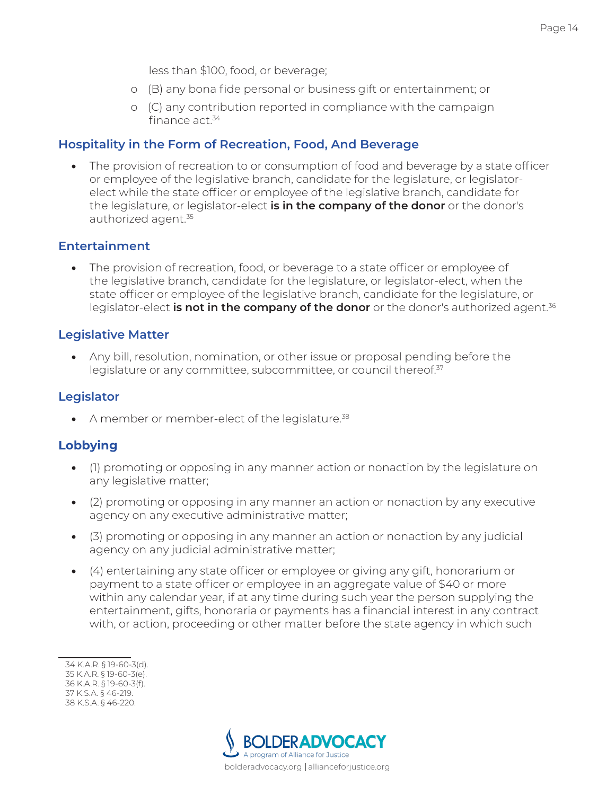less than \$100, food, or beverage;

- o (B) any bona fide personal or business gift or entertainment; or
- o (C) any contribution reported in compliance with the campaign finance act.34

#### **Hospitality in the Form of Recreation, Food, And Beverage**

The provision of recreation to or consumption of food and beverage by a state officer or employee of the legislative branch, candidate for the legislature, or legislatorelect while the state officer or employee of the legislative branch, candidate for the legislature, or legislator-elect **is in the company of the donor** or the donor's authorized agent.<sup>35</sup>

#### **Entertainment**

• The provision of recreation, food, or beverage to a state officer or employee of the legislative branch, candidate for the legislature, or legislator-elect, when the state officer or employee of the legislative branch, candidate for the legislature, or legislator-elect **is not in the company of the donor** or the donor's authorized agent.<sup>36</sup>

#### **Legislative Matter**

• Any bill, resolution, nomination, or other issue or proposal pending before the legislature or any committee, subcommittee, or council thereof.<sup>37</sup>

#### **Legislator**

• A member or member-elect of the legislature. $38$ 

#### **Lobbying**

- (1) promoting or opposing in any manner action or nonaction by the legislature on any legislative matter;
- (2) promoting or opposing in any manner an action or nonaction by any executive agency on any executive administrative matter;
- (3) promoting or opposing in any manner an action or nonaction by any judicial agency on any judicial administrative matter;
- (4) entertaining any state officer or employee or giving any gift, honorarium or payment to a state officer or employee in an aggregate value of \$40 or more within any calendar year, if at any time during such year the person supplying the entertainment, gifts, honoraria or payments has a financial interest in any contract with, or action, proceeding or other matter before the state agency in which such



<sup>34</sup> K.A.R. § 19-60-3(d). 35 K.A.R. § 19-60-3(e). 36 K.A.R. § 19-60-3(f). 37 K.S.A. § 46-219. 38 K.S.A. § 46-220.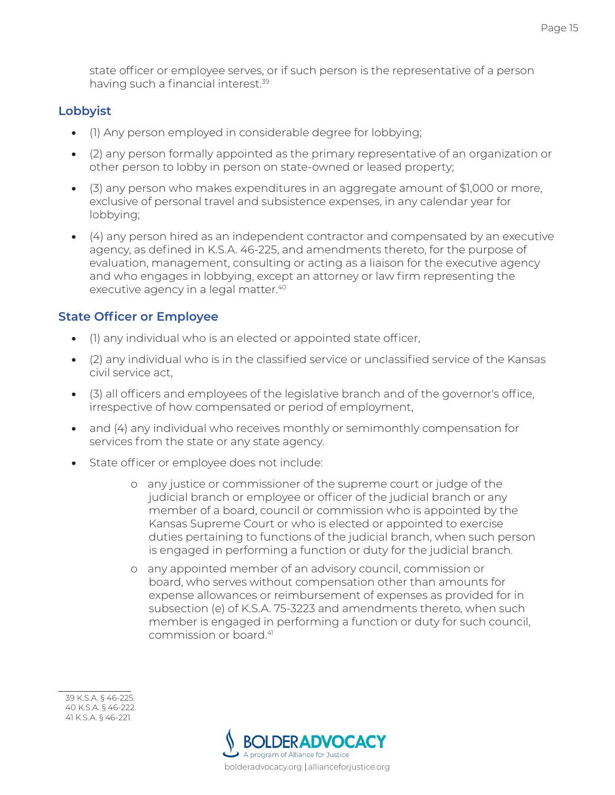state officer or employee serves, or if such person is the representative of a person having such a financial interest.<sup>39</sup>

#### **Lobbyist**

- (1) Any person employed in considerable degree for lobbying;
- (2) any person formally appointed as the primary representative of an organization or other person to lobby in person on state-owned or leased property;
- (3) any person who makes expenditures in an aggregate amount of \$1,000 or more, exclusive of personal travel and subsistence expenses, in any calendar year for lobbying;
- (4) any person hired as an independent contractor and compensated by an executive agency, as defined in K.S.A. 46-225, and amendments thereto, for the purpose of evaluation, management, consulting or acting as a liaison for the executive agency and who engages in lobbying, except an attorney or law firm representing the executive agency in a legal matter.<sup>40</sup>

# **State Officer or Employee**

- (1) any individual who is an elected or appointed state officer,
- (2) any individual who is in the classified service or unclassified service of the Kansas civil service act,
- (3) all officers and employees of the legislative branch and of the governor's office, irrespective of how compensated or period of employment,
- and (4) any individual who receives monthly or semimonthly compensation for services from the state or any state agency.
- State officer or employee does not include:
	- o any justice or commissioner of the supreme court or judge of the judicial branch or employee or officer of the judicial branch or any member of a board, council or commission who is appointed by the Kansas Supreme Court or who is elected or appointed to exercise duties pertaining to functions of the judicial branch, when such person is engaged in performing a function or duty for the judicial branch.
	- o any appointed member of an advisory council, commission or board, who serves without compensation other than amounts for expense allowances or reimbursement of expenses as provided for in subsection (e) of K.S.A. 75-3223 and amendments thereto, when such member is engaged in performing a function or duty for such council, commission or board.41



<sup>39</sup> K.S.A. § 46-225. 40 K.S.A. § 46-222. 41 K.S.A. § 46-221.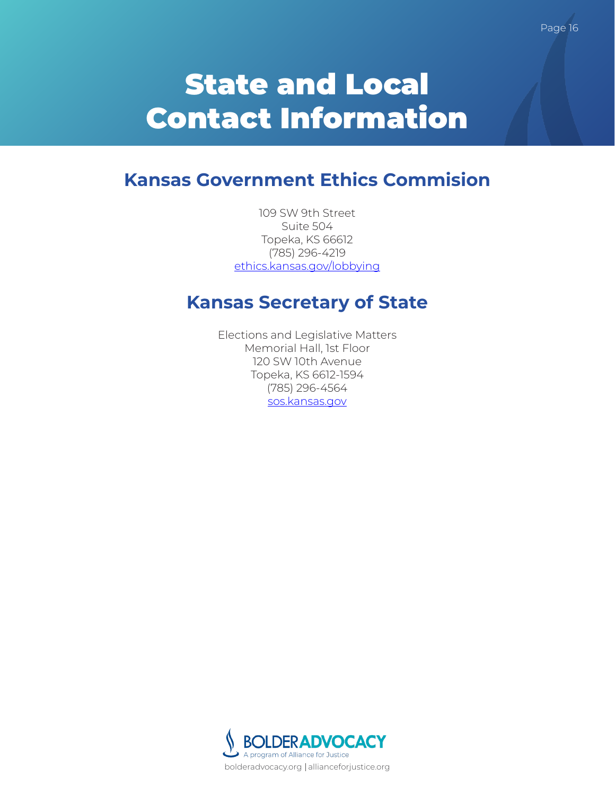# **Kansas Government Ethics Commision**

<span id="page-17-0"></span>109 SW 9th Street Suite 504 Topeka, KS 66612 (785) 296-4219 ethics.kansas.gov/lobbying

# **Kansas Secretary of State**

Elections and Legislative Matters Memorial Hall, 1st Floor 120 SW 10th Avenue Topeka, KS 6612-1594 (785) 296-4564 sos.kansas.gov

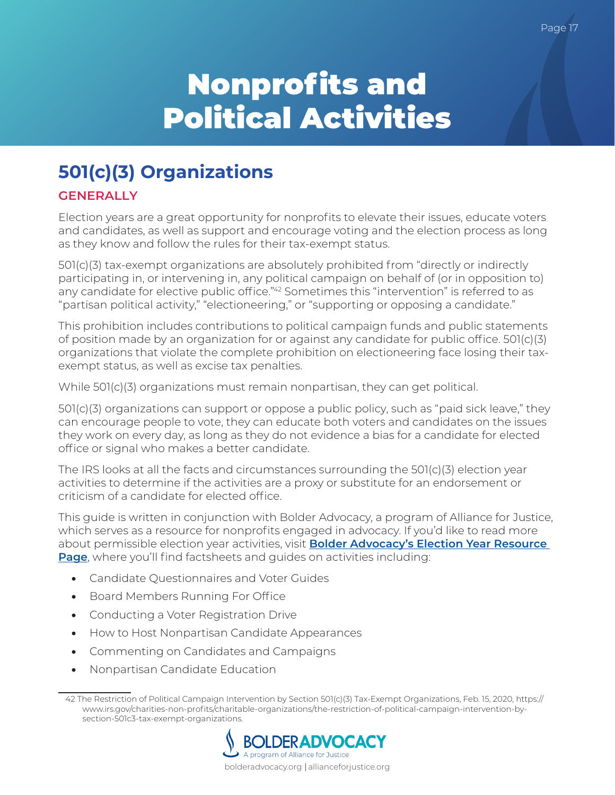# <span id="page-18-0"></span>Nonprofits and Political Activities

# <span id="page-18-1"></span>**501(c)(3) Organizations**

# <span id="page-18-2"></span>**GENERALLY**

Election years are a great opportunity for nonprofits to elevate their issues, educate voters and candidates, as well as support and encourage voting and the election process as long as they know and follow the rules for their tax-exempt status.

501(c)(3) tax-exempt organizations are absolutely prohibited from "directly or indirectly participating in, or intervening in, any political campaign on behalf of (or in opposition to) any candidate for elective public office."<sup>42</sup> Sometimes this "intervention" is referred to as "partisan political activity," "electioneering," or "supporting or opposing a candidate."

This prohibition includes contributions to political campaign funds and public statements of position made by an organization for or against any candidate for public office. 501(c)(3) organizations that violate the complete prohibition on electioneering face losing their taxexempt status, as well as excise tax penalties.

While 501(c)(3) organizations must remain nonpartisan, they can get political.

501(c)(3) organizations can support or oppose a public policy, such as "paid sick leave," they can encourage people to vote, they can educate both voters and candidates on the issues they work on every day, as long as they do not evidence a bias for a candidate for elected office or signal who makes a better candidate.

The IRS looks at all the facts and circumstances surrounding the 501(c)(3) election year activities to determine if the activities are a proxy or substitute for an endorsement or criticism of a candidate for elected office.

This guide is written in conjunction with Bolder Advocacy, a program of Alliance for Justice, which serves as a resource for nonprofits engaged in advocacy. If you'd like to read more about permissible election year activities, visit **[Bolder Advocacy's Election Year Resource](https://www.bolderadvocacy.org/2019/08/01/questions-about-election-activity-we-have-answers/)  [Page](https://www.bolderadvocacy.org/2019/08/01/questions-about-election-activity-we-have-answers/)**, where you'll find factsheets and guides on activities including:

- Candidate Questionnaires and Voter Guides
- Board Members Running For Office
- Conducting a Voter Registration Drive
- How to Host Nonpartisan Candidate Appearances
- Commenting on Candidates and Campaigns
- Nonpartisan Candidate Education

<sup>42</sup> The Restriction of Political Campaign Intervention by Section 501(c)(3) Tax-Exempt Organizations, Feb. 15, 2020, https:// www.irs.gov/charities-non-profits/charitable-organizations/the-restriction-of-political-campaign-intervention-bysection-501c3-tax-exempt-organizations.

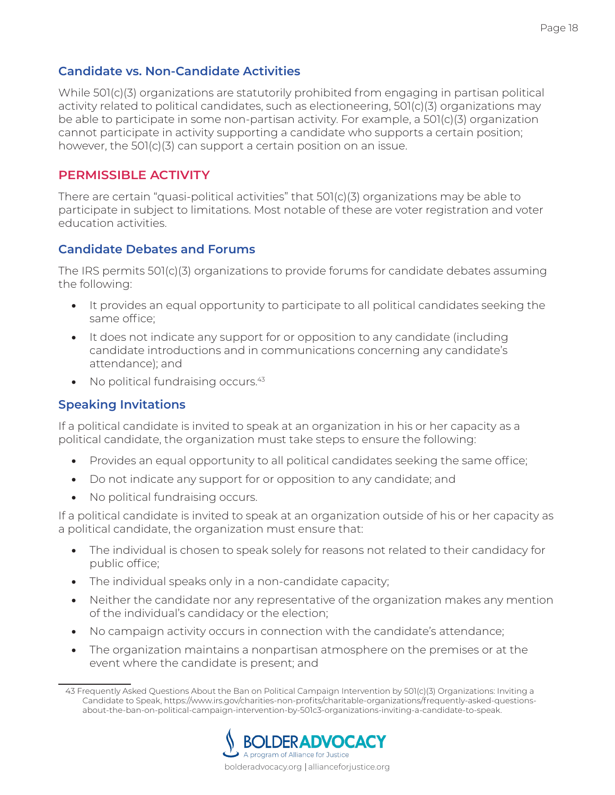#### **Candidate vs. Non-Candidate Activities**

While 501(c)(3) organizations are statutorily prohibited from engaging in partisan political activity related to political candidates, such as electioneering, 501(c)(3) organizations may be able to participate in some non-partisan activity. For example, a 501(c)(3) organization cannot participate in activity supporting a candidate who supports a certain position; however, the 501(c)(3) can support a certain position on an issue.

#### <span id="page-19-0"></span>**PERMISSIBLE ACTIVITY**

There are certain "quasi-political activities" that 501(c)(3) organizations may be able to participate in subject to limitations. Most notable of these are voter registration and voter education activities.

#### **Candidate Debates and Forums**

The IRS permits 501(c)(3) organizations to provide forums for candidate debates assuming the following:

- It provides an equal opportunity to participate to all political candidates seeking the same office;
- It does not indicate any support for or opposition to any candidate (including candidate introductions and in communications concerning any candidate's attendance); and
- $\bullet$  No political fundraising occurs. $43$

#### **Speaking Invitations**

If a political candidate is invited to speak at an organization in his or her capacity as a political candidate, the organization must take steps to ensure the following:

- Provides an equal opportunity to all political candidates seeking the same office;
- Do not indicate any support for or opposition to any candidate; and
- No political fundraising occurs.

If a political candidate is invited to speak at an organization outside of his or her capacity as a political candidate, the organization must ensure that:

- The individual is chosen to speak solely for reasons not related to their candidacy for public office;
- The individual speaks only in a non-candidate capacity;
- Neither the candidate nor any representative of the organization makes any mention of the individual's candidacy or the election;
- No campaign activity occurs in connection with the candidate's attendance;
- The organization maintains a nonpartisan atmosphere on the premises or at the event where the candidate is present; and

<sup>43</sup> Frequently Asked Questions About the Ban on Political Campaign Intervention by 501(c)(3) Organizations: Inviting a Candidate to Speak, https://www.irs.gov/charities-non-profits/charitable-organizations/frequently-asked-questionsabout-the-ban-on-political-campaign-intervention-by-501c3-organizations-inviting-a-candidate-to-speak.

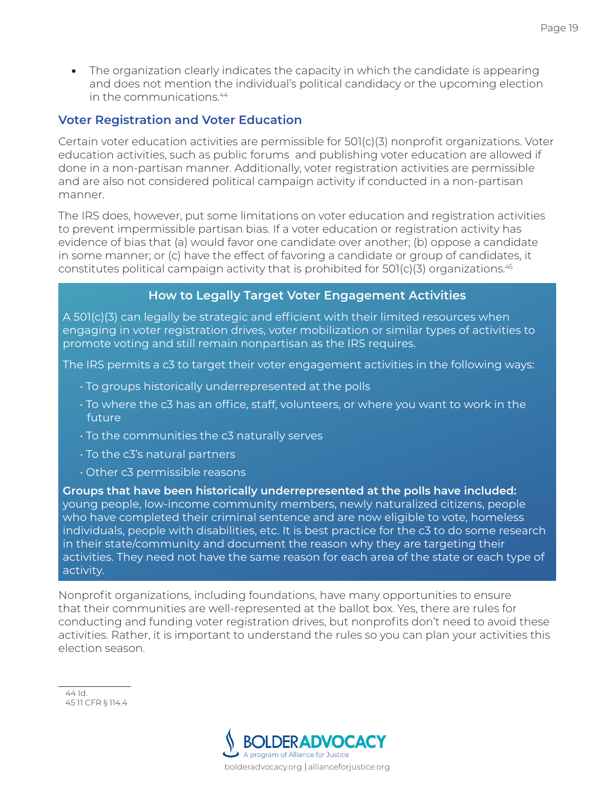• The organization clearly indicates the capacity in which the candidate is appearing and does not mention the individual's political candidacy or the upcoming election in the communications.44

#### **Voter Registration and Voter Education**

Certain voter education activities are permissible for 501(c)(3) nonprofit organizations. Voter education activities, such as public forums and publishing voter education are allowed if done in a non-partisan manner. Additionally, voter registration activities are permissible and are also not considered political campaign activity if conducted in a non-partisan manner.

The IRS does, however, put some limitations on voter education and registration activities to prevent impermissible partisan bias. If a voter education or registration activity has evidence of bias that (a) would favor one candidate over another; (b) oppose a candidate in some manner; or (c) have the effect of favoring a candidate or group of candidates, it constitutes political campaign activity that is prohibited for 501(c)(3) organizations.<sup>45</sup>

#### **How to Legally Target Voter Engagement Activities**

A 501(c)(3) can legally be strategic and efficient with their limited resources when engaging in voter registration drives, voter mobilization or similar types of activities to promote voting and still remain nonpartisan as the IRS requires.

The IRS permits a c3 to target their voter engagement activities in the following ways:

- To groups historically underrepresented at the polls
- To where the c3 has an office, staff, volunteers, or where you want to work in the future
- To the communities the c3 naturally serves
- To the c3's natural partners
- Other c3 permissible reasons

**Groups that have been historically underrepresented at the polls have included:**  young people, low-income community members, newly naturalized citizens, people who have completed their criminal sentence and are now eligible to vote, homeless individuals, people with disabilities, etc. It is best practice for the c3 to do some research in their state/community and document the reason why they are targeting their activities. They need not have the same reason for each area of the state or each type of activity.

Nonprofit organizations, including foundations, have many opportunities to ensure that their communities are well-represented at the ballot box. Yes, there are rules for conducting and funding voter registration drives, but nonprofits don't need to avoid these activities. Rather, it is important to understand the rules so you can plan your activities this election season.



<sup>44</sup> Id. 45 11 CFR § 114.4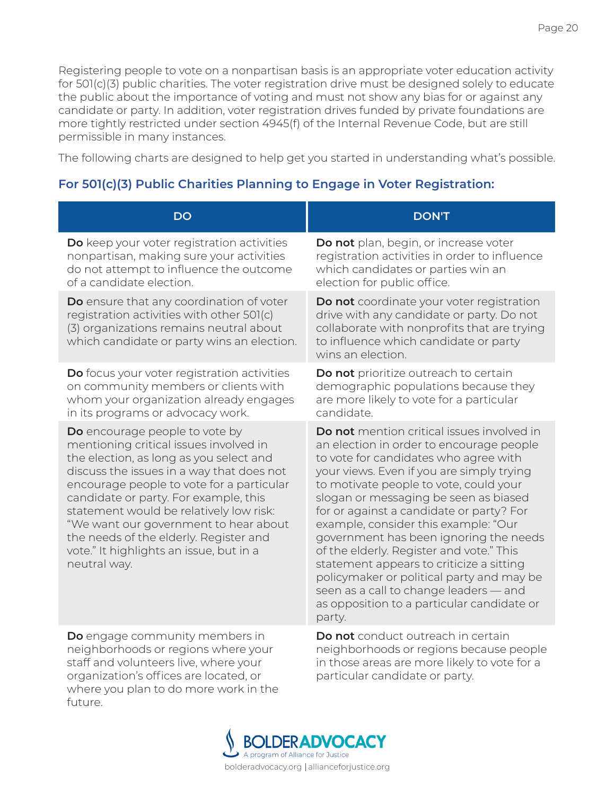Registering people to vote on a nonpartisan basis is an appropriate voter education activity for 501(c)(3) public charities. The voter registration drive must be designed solely to educate the public about the importance of voting and must not show any bias for or against any candidate or party. In addition, voter registration drives funded by private foundations are more tightly restricted under section 4945(f) of the Internal Revenue Code, but are still permissible in many instances.

The following charts are designed to help get you started in understanding what's possible.

# **For 501(c)(3) Public Charities Planning to Engage in Voter Registration:**

| <b>DO</b>                                                                                                                                                                                                                                                                                                                                                                                                                                       | <b>DON'T</b>                                                                                                                                                                                                                                                                                                                                                                                                                                                                                                                                                                                                                         |
|-------------------------------------------------------------------------------------------------------------------------------------------------------------------------------------------------------------------------------------------------------------------------------------------------------------------------------------------------------------------------------------------------------------------------------------------------|--------------------------------------------------------------------------------------------------------------------------------------------------------------------------------------------------------------------------------------------------------------------------------------------------------------------------------------------------------------------------------------------------------------------------------------------------------------------------------------------------------------------------------------------------------------------------------------------------------------------------------------|
| Do keep your voter registration activities                                                                                                                                                                                                                                                                                                                                                                                                      | Do not plan, begin, or increase voter                                                                                                                                                                                                                                                                                                                                                                                                                                                                                                                                                                                                |
| nonpartisan, making sure your activities                                                                                                                                                                                                                                                                                                                                                                                                        | registration activities in order to influence                                                                                                                                                                                                                                                                                                                                                                                                                                                                                                                                                                                        |
| do not attempt to influence the outcome                                                                                                                                                                                                                                                                                                                                                                                                         | which candidates or parties win an                                                                                                                                                                                                                                                                                                                                                                                                                                                                                                                                                                                                   |
| of a candidate election.                                                                                                                                                                                                                                                                                                                                                                                                                        | election for public office.                                                                                                                                                                                                                                                                                                                                                                                                                                                                                                                                                                                                          |
| Do ensure that any coordination of voter<br>registration activities with other 501(c)<br>(3) organizations remains neutral about<br>which candidate or party wins an election.                                                                                                                                                                                                                                                                  | Do not coordinate your voter registration<br>drive with any candidate or party. Do not<br>collaborate with nonprofits that are trying<br>to influence which candidate or party<br>wins an election.                                                                                                                                                                                                                                                                                                                                                                                                                                  |
| Do focus your voter registration activities                                                                                                                                                                                                                                                                                                                                                                                                     | Do not prioritize outreach to certain                                                                                                                                                                                                                                                                                                                                                                                                                                                                                                                                                                                                |
| on community members or clients with                                                                                                                                                                                                                                                                                                                                                                                                            | demographic populations because they                                                                                                                                                                                                                                                                                                                                                                                                                                                                                                                                                                                                 |
| whom your organization already engages                                                                                                                                                                                                                                                                                                                                                                                                          | are more likely to vote for a particular                                                                                                                                                                                                                                                                                                                                                                                                                                                                                                                                                                                             |
| in its programs or advocacy work.                                                                                                                                                                                                                                                                                                                                                                                                               | candidate.                                                                                                                                                                                                                                                                                                                                                                                                                                                                                                                                                                                                                           |
| Do encourage people to vote by<br>mentioning critical issues involved in<br>the election, as long as you select and<br>discuss the issues in a way that does not<br>encourage people to vote for a particular<br>candidate or party. For example, this<br>statement would be relatively low risk:<br>"We want our government to hear about<br>the needs of the elderly. Register and<br>vote." It highlights an issue, but in a<br>neutral way. | Do not mention critical issues involved in<br>an election in order to encourage people<br>to vote for candidates who agree with<br>your views. Even if you are simply trying<br>to motivate people to vote, could your<br>slogan or messaging be seen as biased<br>for or against a candidate or party? For<br>example, consider this example: "Our<br>government has been ignoring the needs<br>of the elderly. Register and vote." This<br>statement appears to criticize a sitting<br>policymaker or political party and may be<br>seen as a call to change leaders - and<br>as opposition to a particular candidate or<br>party. |
| Do engage community members in                                                                                                                                                                                                                                                                                                                                                                                                                  | Do not conduct outreach in certain                                                                                                                                                                                                                                                                                                                                                                                                                                                                                                                                                                                                   |
| neighborhoods or regions where your                                                                                                                                                                                                                                                                                                                                                                                                             | neighborhoods or regions because people                                                                                                                                                                                                                                                                                                                                                                                                                                                                                                                                                                                              |
| staff and volunteers live, where your                                                                                                                                                                                                                                                                                                                                                                                                           | in those areas are more likely to vote for a                                                                                                                                                                                                                                                                                                                                                                                                                                                                                                                                                                                         |
| organization's offices are located, or                                                                                                                                                                                                                                                                                                                                                                                                          | particular candidate or party.                                                                                                                                                                                                                                                                                                                                                                                                                                                                                                                                                                                                       |



where you plan to do more work in the

future.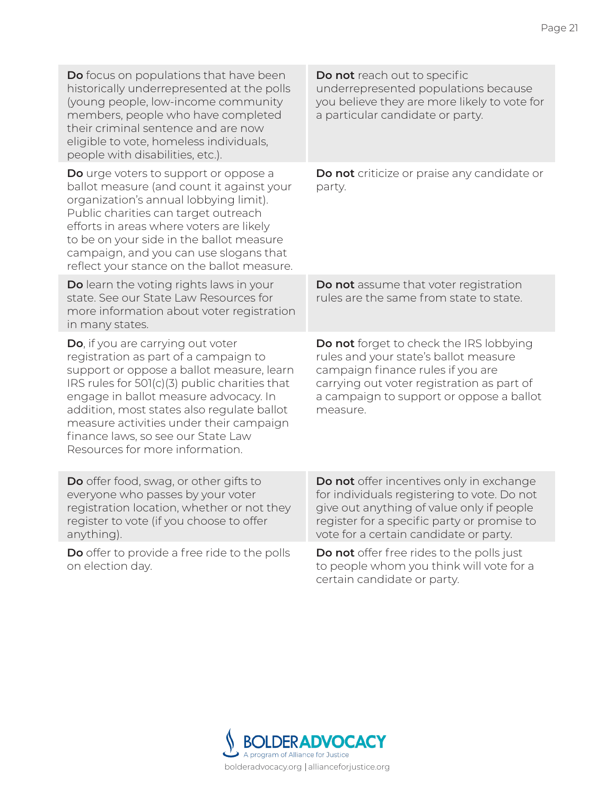| Do focus on populations that have been<br>historically underrepresented at the polls<br>(young people, low-income community<br>members, people who have completed<br>their criminal sentence and are now<br>eligible to vote, homeless individuals,<br>people with disabilities, etc.).                                                                                             | Do not reach out to specific<br>underrepresented populations because<br>you believe they are more likely to vote for<br>a particular candidate or party.                                                                      |
|-------------------------------------------------------------------------------------------------------------------------------------------------------------------------------------------------------------------------------------------------------------------------------------------------------------------------------------------------------------------------------------|-------------------------------------------------------------------------------------------------------------------------------------------------------------------------------------------------------------------------------|
| Do urge voters to support or oppose a<br>ballot measure (and count it against your<br>organization's annual lobbying limit).<br>Public charities can target outreach<br>efforts in areas where voters are likely<br>to be on your side in the ballot measure<br>campaign, and you can use slogans that<br>reflect your stance on the ballot measure.                                | Do not criticize or praise any candidate or<br>party.                                                                                                                                                                         |
| Do learn the voting rights laws in your<br>state. See our State Law Resources for<br>more information about voter registration<br>in many states.                                                                                                                                                                                                                                   | Do not assume that voter registration<br>rules are the same from state to state.                                                                                                                                              |
| Do, if you are carrying out voter<br>registration as part of a campaign to<br>support or oppose a ballot measure, learn<br>IRS rules for 501(c)(3) public charities that<br>engage in ballot measure advocacy. In<br>addition, most states also regulate ballot<br>measure activities under their campaign<br>finance laws, so see our State Law<br>Resources for more information. | Do not forget to check the IRS lobbying<br>rules and your state's ballot measure<br>campaign finance rules if you are<br>carrying out voter registration as part of<br>a campaign to support or oppose a ballot<br>measure.   |
| Do offer food, swag, or other gifts to<br>everyone who passes by your voter<br>registration location, whether or not they<br>register to vote (if you choose to offer<br>anything).                                                                                                                                                                                                 | Do not offer incentives only in exchange<br>for individuals registering to vote. Do not<br>give out anything of value only if people<br>register for a specific party or promise to<br>vote for a certain candidate or party. |
| Do offer to provide a free ride to the polls<br>on election day.                                                                                                                                                                                                                                                                                                                    | Do not offer free rides to the polls just<br>to people whom you think will vote for a<br>certain candidate or party.                                                                                                          |

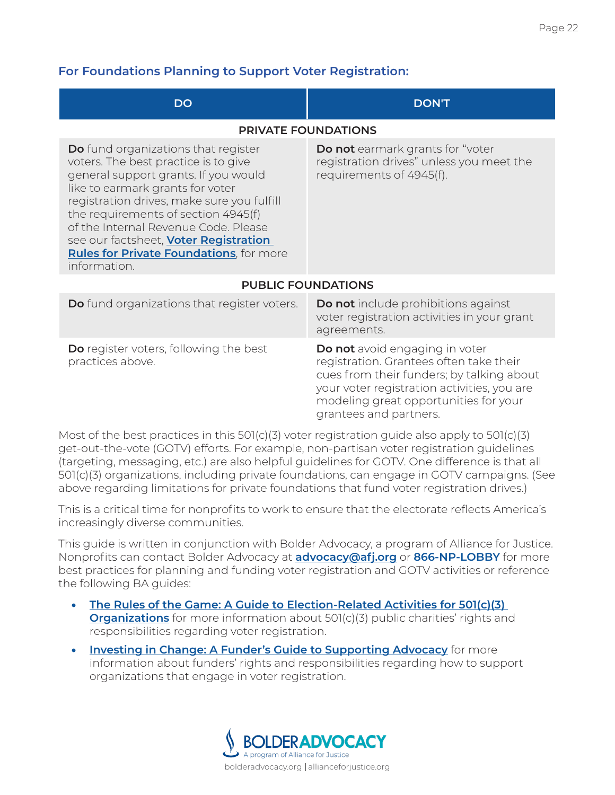## **For Foundations Planning to Support Voter Registration:**

| <b>DO</b>                                                                                                                                                                                                                                                                                                                                                                                                      | <b>DON'T</b>                                                                                                                                                                                                                                    |  |  |  |  |
|----------------------------------------------------------------------------------------------------------------------------------------------------------------------------------------------------------------------------------------------------------------------------------------------------------------------------------------------------------------------------------------------------------------|-------------------------------------------------------------------------------------------------------------------------------------------------------------------------------------------------------------------------------------------------|--|--|--|--|
| <b>PRIVATE FOUNDATIONS</b>                                                                                                                                                                                                                                                                                                                                                                                     |                                                                                                                                                                                                                                                 |  |  |  |  |
| <b>Do</b> fund organizations that register<br>voters. The best practice is to give<br>general support grants. If you would<br>like to earmark grants for voter<br>registration drives, make sure you fulfill<br>the requirements of section 4945(f)<br>of the Internal Revenue Code. Please<br>see our factsheet, <b>Voter Registration</b><br><b>Rules for Private Foundations</b> , for more<br>information. | <b>Do not</b> earmark grants for "voter<br>registration drives" unless you meet the<br>requirements of 4945(f).                                                                                                                                 |  |  |  |  |
| <b>PUBLIC FOUNDATIONS</b>                                                                                                                                                                                                                                                                                                                                                                                      |                                                                                                                                                                                                                                                 |  |  |  |  |
| <b>Do</b> fund organizations that register voters.                                                                                                                                                                                                                                                                                                                                                             | <b>Do not</b> include prohibitions against<br>voter registration activities in your grant<br>agreements.                                                                                                                                        |  |  |  |  |
| <b>Do</b> register voters, following the best<br>practices above.                                                                                                                                                                                                                                                                                                                                              | <b>Do not</b> avoid engaging in voter<br>registration. Grantees often take their<br>cues from their funders; by talking about<br>your voter registration activities, you are<br>modeling great opportunities for your<br>grantees and partners. |  |  |  |  |

Most of the best practices in this 501(c)(3) voter registration guide also apply to 501(c)(3) get-out-the-vote (GOTV) efforts. For example, non-partisan voter registration guidelines (targeting, messaging, etc.) are also helpful guidelines for GOTV. One difference is that all 501(c)(3) organizations, including private foundations, can engage in GOTV campaigns. (See above regarding limitations for private foundations that fund voter registration drives.)

This is a critical time for nonprofits to work to ensure that the electorate reflects America's increasingly diverse communities.

This guide is written in conjunction with Bolder Advocacy, a program of Alliance for Justice. Nonprofits can contact Bolder Advocacy at **[advocacy@afj.org](mailto:advocacy%40afj.org?subject=)** or **866-NP-LOBBY** for more best practices for planning and funding voter registration and GOTV activities or reference the following BA guides:

- **[The Rules of the Game: A Guide to Election-Related Activities for 501\(c\)\(3\)](https://bolderadvocacy.org/resource/the-rules-of-the-game-a-guide-to-election-related-activities-for-501c3-organizations/)  [Organizations](https://bolderadvocacy.org/resource/the-rules-of-the-game-a-guide-to-election-related-activities-for-501c3-organizations/)** for more information about 501(c)(3) public charities' rights and responsibilities regarding voter registration.
- **[Investing in Change: A Funder's Guide to Supporting Advocacy](https://bolderadvocacy.org/resource/investing-in-change-a-funders-guide-to-supporting-advocacy/)** for more information about funders' rights and responsibilities regarding how to support organizations that engage in voter registration.

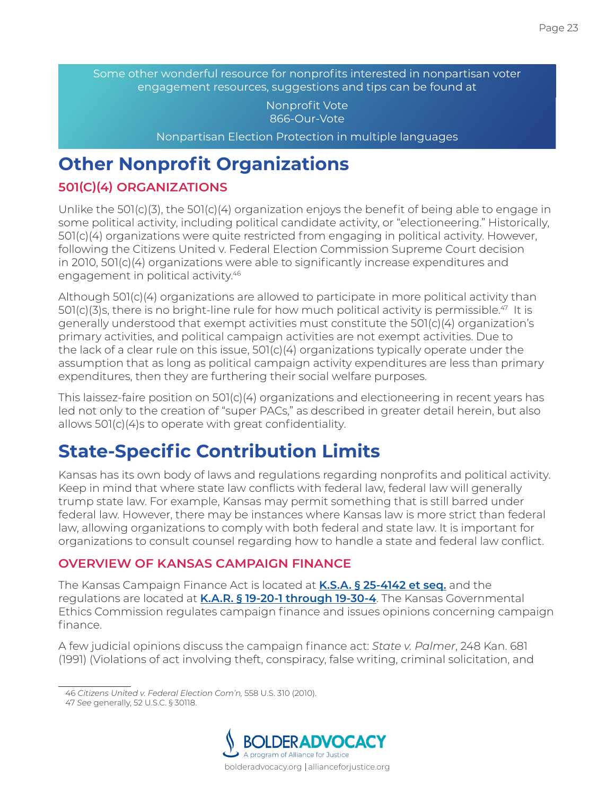Some other wonderful resource for nonprofits interested in nonpartisan voter engagement resources, suggestions and tips can be found at

> Nonprofit Vote 866-Our-Vote

Nonpartisan Election Protection in multiple languages

# <span id="page-24-0"></span>**Other Nonprofit Organizations**

# <span id="page-24-1"></span>**501(C)(4) ORGANIZATIONS**

Unlike the 501(c)(3), the 501(c)(4) organization enjoys the benefit of being able to engage in some political activity, including political candidate activity, or "electioneering." Historically, 501(c)(4) organizations were quite restricted from engaging in political activity. However, following the Citizens United v. Federal Election Commission Supreme Court decision in 2010, 501(c)(4) organizations were able to significantly increase expenditures and engagement in political activity.<sup>46</sup>

Although 501(c)(4) organizations are allowed to participate in more political activity than  $501(c)(3)$ s, there is no bright-line rule for how much political activity is permissible.<sup>47</sup> It is generally understood that exempt activities must constitute the 501(c)(4) organization's primary activities, and political campaign activities are not exempt activities. Due to the lack of a clear rule on this issue, 501(c)(4) organizations typically operate under the assumption that as long as political campaign activity expenditures are less than primary expenditures, then they are furthering their social welfare purposes.

This laissez-faire position on 501(c)(4) organizations and electioneering in recent years has led not only to the creation of "super PACs," as described in greater detail herein, but also allows 501(c)(4)s to operate with great confidentiality.

# <span id="page-24-2"></span>**State-Specific Contribution Limits**

Kansas has its own body of laws and regulations regarding nonprofits and political activity. Keep in mind that where state law conflicts with federal law, federal law will generally trump state law. For example, Kansas may permit something that is still barred under federal law. However, there may be instances where Kansas law is more strict than federal law, allowing organizations to comply with both federal and state law. It is important for organizations to consult counsel regarding how to handle a state and federal law conflict.

# <span id="page-24-3"></span>**OVERVIEW OF KANSAS CAMPAIGN FINANCE**

The Kansas Campaign Finance Act is located at **[K.S.A. § 25-4142 et seq.](http://kslegislature.org/li/b2011_12/statute/025_000_0000_chapter/025_041_0000_article/)** and the regulations are located at **[K.A.R. § 19-20-1 through 19-30-4](http://www.kansas.gov/ethics/Campaign_Finance/Rules_and_Regulations.html)**. The Kansas Governmental Ethics Commission regulates campaign finance and issues opinions concerning campaign finance.

A few judicial opinions discuss the campaign finance act: *State v. Palmer*, 248 Kan. 681 (1991) (Violations of act involving theft, conspiracy, false writing, criminal solicitation, and

<sup>47</sup> *See* generally, 52 U.S.C. § 30118.



<sup>46</sup> *Citizens United v. Federal Election Com'n,* 558 U.S. 310 (2010).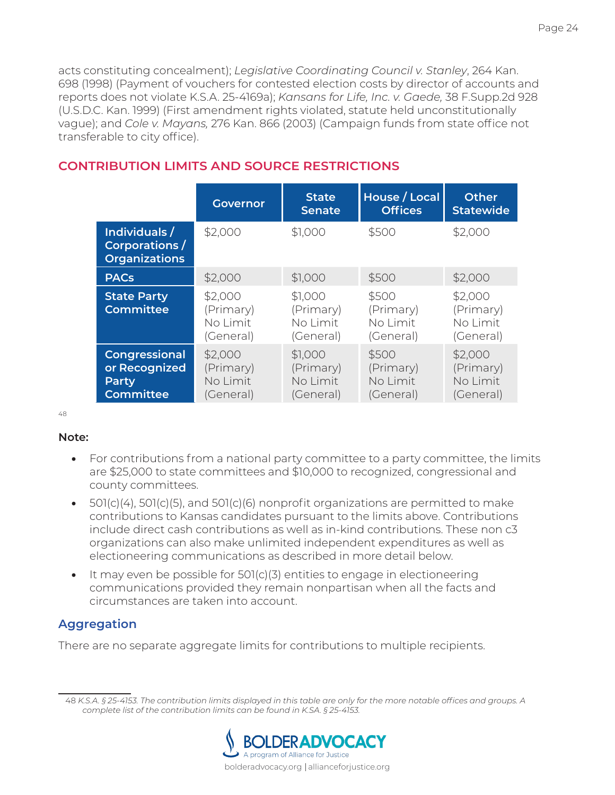acts constituting concealment); *Legislative Coordinating Council v. Stanley*, 264 Kan. 698 (1998) (Payment of vouchers for contested election costs by director of accounts and reports does not violate K.S.A. 25-4169a); *Kansans for Life, Inc. v. Gaede,* 38 F.Supp.2d 928 (U.S.D.C. Kan. 1999) (First amendment rights violated, statute held unconstitutionally vague); and *Cole v. Mayans,* 276 Kan. 866 (2003) (Campaign funds from state office not transferable to city office).

|                                                                    | <b>Governor</b>                               | <b>State</b><br><b>Senate</b>                 | House / Local<br><b>Offices</b>             | Other<br><b>Statewide</b>                     |
|--------------------------------------------------------------------|-----------------------------------------------|-----------------------------------------------|---------------------------------------------|-----------------------------------------------|
| Individuals /<br>Corporations /<br><b>Organizations</b>            | \$2,000                                       | \$1,000                                       | \$500                                       | \$2,000                                       |
| <b>PACs</b>                                                        | \$2,000                                       | \$1,000                                       | \$500                                       | \$2,000                                       |
| <b>State Party</b><br><b>Committee</b>                             | \$2,000<br>(Primary)<br>No Limit<br>(General) | \$1,000<br>(Primary)<br>No Limit<br>(General) | \$500<br>(Primary)<br>No Limit<br>(General) | \$2,000<br>(Primary)<br>No Limit<br>(General) |
| <b>Congressional</b><br>or Recognized<br>Party<br><b>Committee</b> | \$2,000<br>(Primary)<br>No Limit<br>(General) | \$1,000<br>(Primary)<br>No Limit<br>(General) | \$500<br>(Primary)<br>No Limit<br>(General) | \$2,000<br>(Primary)<br>No Limit<br>(General) |

# <span id="page-25-0"></span>**CONTRIBUTION LIMITS AND SOURCE RESTRICTIONS**

48

#### **Note:**

- For contributions from a national party committee to a party committee, the limits are \$25,000 to state committees and \$10,000 to recognized, congressional and county committees.
- $501(c)(4)$ ,  $501(c)(5)$ , and  $501(c)(6)$  nonprofit organizations are permitted to make contributions to Kansas candidates pursuant to the limits above. Contributions include direct cash contributions as well as in-kind contributions. These non c3 organizations can also make unlimited independent expenditures as well as electioneering communications as described in more detail below.
- It may even be possible for 501(c)(3) entities to engage in electioneering communications provided they remain nonpartisan when all the facts and circumstances are taken into account.

# **Aggregation**

There are no separate aggregate limits for contributions to multiple recipients.

<sup>48</sup> *K.S.A. § 25-4153. The contribution limits displayed in this table are only for the more notable offices and groups. A complete list of the contribution limits can be found in K.SA. § 25-4153.*

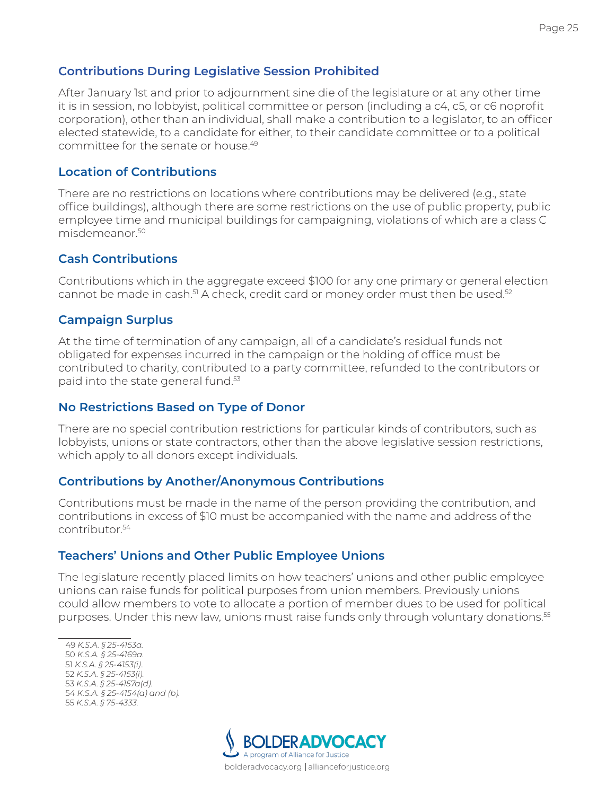#### **Contributions During Legislative Session Prohibited**

After January 1st and prior to adjournment sine die of the legislature or at any other time it is in session, no lobbyist, political committee or person (including a c4, c5, or c6 noprofit corporation), other than an individual, shall make a contribution to a legislator, to an officer elected statewide, to a candidate for either, to their candidate committee or to a political committee for the senate or house.49

#### **Location of Contributions**

There are no restrictions on locations where contributions may be delivered (e.g., state office buildings), although there are some restrictions on the use of public property, public employee time and municipal buildings for campaigning, violations of which are a class C misdemeanor.50

#### **Cash Contributions**

Contributions which in the aggregate exceed \$100 for any one primary or general election cannot be made in cash.<sup>51</sup> A check, credit card or money order must then be used.<sup>52</sup>

#### **Campaign Surplus**

At the time of termination of any campaign, all of a candidate's residual funds not obligated for expenses incurred in the campaign or the holding of office must be contributed to charity, contributed to a party committee, refunded to the contributors or paid into the state general fund.<sup>53</sup>

#### **No Restrictions Based on Type of Donor**

There are no special contribution restrictions for particular kinds of contributors, such as lobbyists, unions or state contractors, other than the above legislative session restrictions, which apply to all donors except individuals.

#### **Contributions by Another/Anonymous Contributions**

Contributions must be made in the name of the person providing the contribution, and contributions in excess of \$10 must be accompanied with the name and address of the contributor.54

#### **Teachers' Unions and Other Public Employee Unions**

The legislature recently placed limits on how teachers' unions and other public employee unions can raise funds for political purposes from union members. Previously unions could allow members to vote to allocate a portion of member dues to be used for political purposes. Under this new law, unions must raise funds only through voluntary donations.<sup>55</sup>

 *K.S.A. § 25-4153a. K.S.A. § 25-4169a. K.S.A. § 25-4153(i).. K.S.A. § 25-4153(i). K.S.A. § 25-4157a(d). K.S.A. § 25-4154(a) and (b). K.S.A. § 75-4333.*

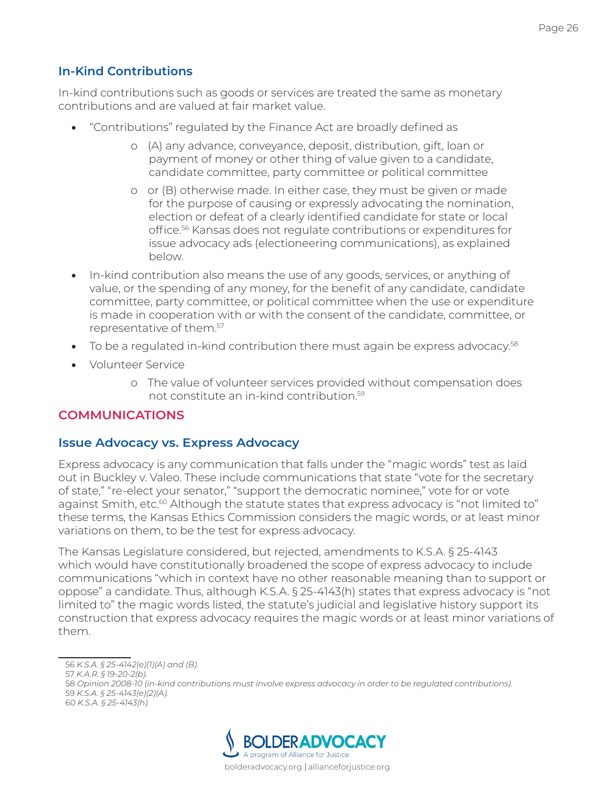# **In-Kind Contributions**

In-kind contributions such as goods or services are treated the same as monetary contributions and are valued at fair market value.

- "Contributions" regulated by the Finance Act are broadly defined as
	- o (A) any advance, conveyance, deposit, distribution, gift, loan or payment of money or other thing of value given to a candidate, candidate committee, party committee or political committee
	- o or (B) otherwise made. In either case, they must be given or made for the purpose of causing or expressly advocating the nomination, election or defeat of a clearly identified candidate for state or local office.56 Kansas does not regulate contributions or expenditures for issue advocacy ads (electioneering communications), as explained below.
- In-kind contribution also means the use of any goods, services, or anything of value, or the spending of any money, for the benefit of any candidate, candidate committee, party committee, or political committee when the use or expenditure is made in cooperation with or with the consent of the candidate, committee, or representative of them.57
- To be a regulated in-kind contribution there must again be express advocacy. $58$
- Volunteer Service
	- o The value of volunteer services provided without compensation does not constitute an in-kind contribution.59

#### <span id="page-27-0"></span>**COMMUNICATIONS**

#### **Issue Advocacy vs. Express Advocacy**

Express advocacy is any communication that falls under the "magic words" test as laid out in Buckley v. Valeo. These include communications that state "vote for the secretary of state," "re-elect your senator," "support the democratic nominee," vote for or vote against Smith, etc.<sup>60</sup> Although the statute states that express advocacy is "not limited to" these terms, the Kansas Ethics Commission considers the magic words, or at least minor variations on them, to be the test for express advocacy.

The Kansas Legislature considered, but rejected, amendments to K.S.A. § 25-4143 which would have constitutionally broadened the scope of express advocacy to include communications "which in context have no other reasonable meaning than to support or oppose" a candidate. Thus, although K.S.A. § 25-4143(h) states that express advocacy is "not limited to" the magic words listed, the statute's judicial and legislative history support its construction that express advocacy requires the magic words or at least minor variations of them.



<sup>56</sup> *K.S.A. § 25-4142(e)(1)(A) and (B).*

<sup>57</sup> *K.A.R. § 19-20-2(b).* 

<sup>58</sup> *Opinion 2008-10 (in-kind contributions must involve express advocacy in order to be regulated contributions).* 59 *K.S.A. § 25-4143(e)(2)(A).*

<sup>60</sup> *K.S.A. § 25-4143(h).*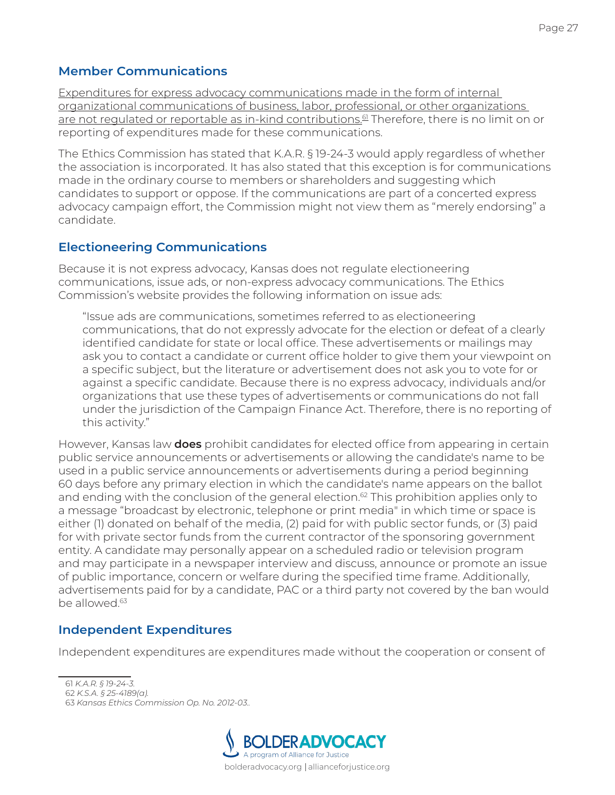### **Member Communications**

Expenditures for express advocacy communications made in the form of internal organizational communications of business, labor, professional, or other organizations are not regulated or reportable as in-kind contributions.<sup>61</sup> Therefore, there is no limit on or reporting of expenditures made for these communications.

The Ethics Commission has stated that K.A.R. § 19-24-3 would apply regardless of whether the association is incorporated. It has also stated that this exception is for communications made in the ordinary course to members or shareholders and suggesting which candidates to support or oppose. If the communications are part of a concerted express advocacy campaign effort, the Commission might not view them as "merely endorsing" a candidate.

### **Electioneering Communications**

Because it is not express advocacy, Kansas does not regulate electioneering communications, issue ads, or non-express advocacy communications. The Ethics Commission's website provides the following information on issue ads:

"Issue ads are communications, sometimes referred to as electioneering communications, that do not expressly advocate for the election or defeat of a clearly identified candidate for state or local office. These advertisements or mailings may ask you to contact a candidate or current office holder to give them your viewpoint on a specific subject, but the literature or advertisement does not ask you to vote for or against a specific candidate. Because there is no express advocacy, individuals and/or organizations that use these types of advertisements or communications do not fall under the jurisdiction of the Campaign Finance Act. Therefore, there is no reporting of this activity."

However, Kansas law **does** prohibit candidates for elected office from appearing in certain public service announcements or advertisements or allowing the candidate's name to be used in a public service announcements or advertisements during a period beginning 60 days before any primary election in which the candidate's name appears on the ballot and ending with the conclusion of the general election.<sup>62</sup> This prohibition applies only to a message "broadcast by electronic, telephone or print media" in which time or space is either (1) donated on behalf of the media, (2) paid for with public sector funds, or (3) paid for with private sector funds from the current contractor of the sponsoring government entity. A candidate may personally appear on a scheduled radio or television program and may participate in a newspaper interview and discuss, announce or promote an issue of public importance, concern or welfare during the specified time frame. Additionally, advertisements paid for by a candidate, PAC or a third party not covered by the ban would be allowed.63

#### **Independent Expenditures**

Independent expenditures are expenditures made without the cooperation or consent of

<sup>63</sup> *Kansas Ethics Commission Op. No. 2012-03..*



<sup>61</sup> *K.A.R. § 19-24-3.* 

<sup>62</sup> *K.S.A. § 25-4189(a).*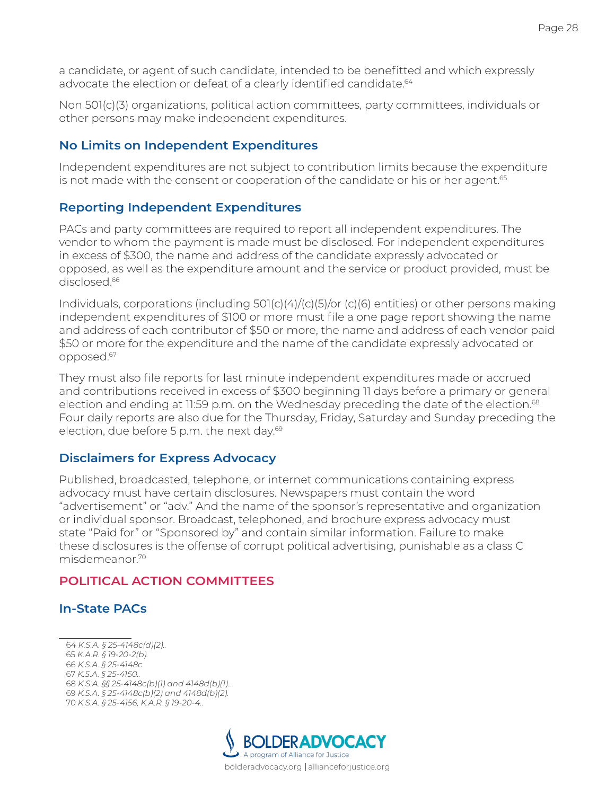a candidate, or agent of such candidate, intended to be benefitted and which expressly advocate the election or defeat of a clearly identified candidate.<sup>64</sup>

Non 501(c)(3) organizations, political action committees, party committees, individuals or other persons may make independent expenditures.

#### **No Limits on Independent Expenditures**

Independent expenditures are not subject to contribution limits because the expenditure is not made with the consent or cooperation of the candidate or his or her agent.<sup>65</sup>

#### **Reporting Independent Expenditures**

PACs and party committees are required to report all independent expenditures. The vendor to whom the payment is made must be disclosed. For independent expenditures in excess of \$300, the name and address of the candidate expressly advocated or opposed, as well as the expenditure amount and the service or product provided, must be disclosed.<sup>66</sup>

Individuals, corporations (including 501(c)(4)/(c)(5)/or (c)(6) entities) or other persons making independent expenditures of \$100 or more must file a one page report showing the name and address of each contributor of \$50 or more, the name and address of each vendor paid \$50 or more for the expenditure and the name of the candidate expressly advocated or opposed.67

They must also file reports for last minute independent expenditures made or accrued and contributions received in excess of \$300 beginning 11 days before a primary or general election and ending at 11:59 p.m. on the Wednesday preceding the date of the election.<sup>68</sup> Four daily reports are also due for the Thursday, Friday, Saturday and Sunday preceding the election, due before 5 p.m. the next day.<sup>69</sup>

#### **Disclaimers for Express Advocacy**

Published, broadcasted, telephone, or internet communications containing express advocacy must have certain disclosures. Newspapers must contain the word "advertisement" or "adv." And the name of the sponsor's representative and organization or individual sponsor. Broadcast, telephoned, and brochure express advocacy must state "Paid for" or "Sponsored by" and contain similar information. Failure to make these disclosures is the offense of corrupt political advertising, punishable as a class C misdemeanor.70

#### <span id="page-29-0"></span>**POLITICAL ACTION COMMITTEES**

#### **In-State PACs**

 *K.S.A. § 25-4148c(d)(2).. K.A.R. § 19-20-2(b). K.S.A. § 25-4148c. K.S.A. § 25-4150.. K.S.A. §§ 25-4148c(b)(1) and 4148d(b)(1).. K.S.A. § 25-4148c(b)(2) and 4148d(b)(2). K.S.A. § 25-4156, K.A.R. § 19-20-4..*

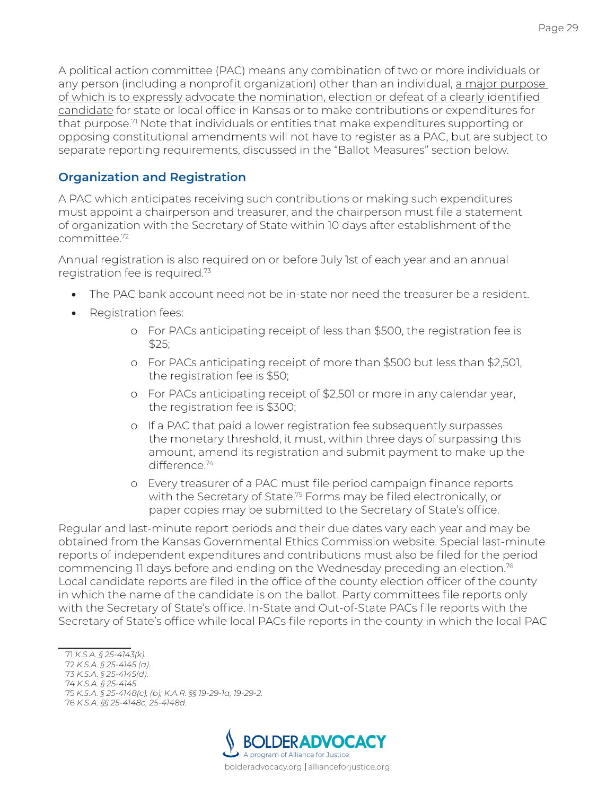A political action committee (PAC) means any combination of two or more individuals or any person (including a nonprofit organization) other than an individual, a major purpose of which is to expressly advocate the nomination, election or defeat of a clearly identified candidate for state or local office in Kansas or to make contributions or expenditures for that purpose.<sup>7</sup> Note that individuals or entities that make expenditures supporting or opposing constitutional amendments will not have to register as a PAC, but are subject to separate reporting requirements, discussed in the "Ballot Measures" section below.

# **Organization and Registration**

A PAC which anticipates receiving such contributions or making such expenditures must appoint a chairperson and treasurer, and the chairperson must file a statement of organization with the Secretary of State within 10 days after establishment of the committee.72

Annual registration is also required on or before July 1st of each year and an annual registration fee is required.73

- The PAC bank account need not be in-state nor need the treasurer be a resident.
- Registration fees:
	- o For PACs anticipating receipt of less than \$500, the registration fee is  $$25:$
	- o For PACs anticipating receipt of more than \$500 but less than \$2,501, the registration fee is \$50;
	- o For PACs anticipating receipt of \$2,501 or more in any calendar year, the registration fee is \$300;
	- o If a PAC that paid a lower registration fee subsequently surpasses the monetary threshold, it must, within three days of surpassing this amount, amend its registration and submit payment to make up the difference<sup>74</sup>
	- o Every treasurer of a PAC must file period campaign finance reports with the Secretary of State.<sup>75</sup> Forms may be filed electronically, or paper copies may be submitted to the Secretary of State's office.

Regular and last-minute report periods and their due dates vary each year and may be obtained from the Kansas Governmental Ethics Commission website. Special last-minute reports of independent expenditures and contributions must also be filed for the period commencing 11 days before and ending on the Wednesday preceding an election.<sup>76</sup> Local candidate reports are filed in the office of the county election officer of the county in which the name of the candidate is on the ballot. Party committees file reports only with the Secretary of State's office. In-State and Out-of-State PACs file reports with the Secretary of State's office while local PACs file reports in the county in which the local PAC

<sup>76</sup> *K.S.A. §§ 25-4148c, 25-4148d.*



<sup>71</sup> *K.S.A. § 25-4143(k).*

<sup>72</sup> *K.S.A. § 25-4145 (a).*

<sup>73</sup> *K.S.A. § 25-4145(d).* 74 *K.S.A. § 25-4145*

<sup>75</sup> *K.S.A. § 25-4148(c), (b); K.A.R. §§ 19-29-1a, 19-29-2.*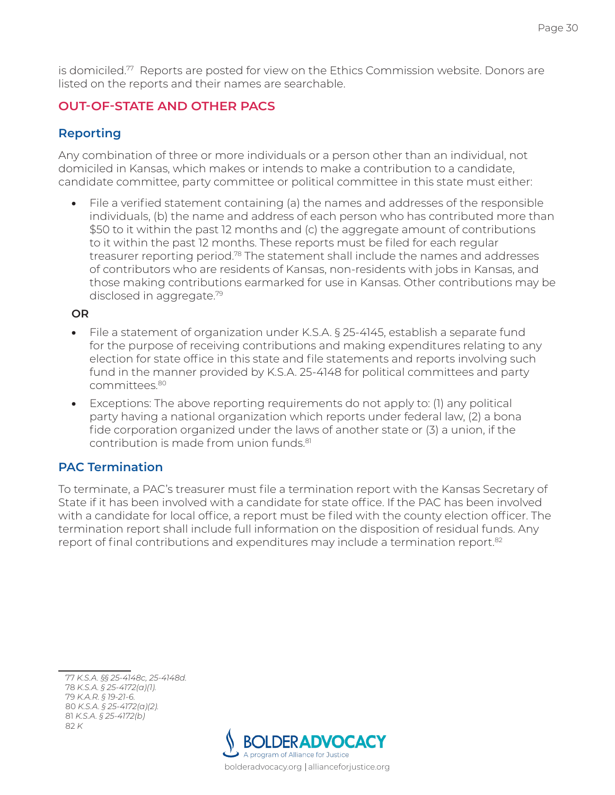is domiciled.77 Reports are posted for view on the Ethics Commission website. Donors are listed on the reports and their names are searchable.

# **OUT-OF-STATE AND OTHER PACS**

# **Reporting**

Any combination of three or more individuals or a person other than an individual, not domiciled in Kansas, which makes or intends to make a contribution to a candidate, candidate committee, party committee or political committee in this state must either:

• File a verified statement containing (a) the names and addresses of the responsible individuals, (b) the name and address of each person who has contributed more than \$50 to it within the past 12 months and (c) the aggregate amount of contributions to it within the past 12 months. These reports must be filed for each regular treasurer reporting period.78 The statement shall include the names and addresses of contributors who are residents of Kansas, non-residents with jobs in Kansas, and those making contributions earmarked for use in Kansas. Other contributions may be disclosed in aggregate.79

#### **OR**

- File a statement of organization under K.S.A. § 25-4145, establish a separate fund for the purpose of receiving contributions and making expenditures relating to any election for state office in this state and file statements and reports involving such fund in the manner provided by K.S.A. 25-4148 for political committees and party committees.80
- Exceptions: The above reporting requirements do not apply to: (1) any political party having a national organization which reports under federal law, (2) a bona fide corporation organized under the laws of another state or (3) a union, if the contribution is made from union funds.81

# **PAC Termination**

To terminate, a PAC's treasurer must file a termination report with the Kansas Secretary of State if it has been involved with a candidate for state office. If the PAC has been involved with a candidate for local office, a report must be filed with the county election officer. The termination report shall include full information on the disposition of residual funds. Any report of final contributions and expenditures may include a termination report.<sup>82</sup>

 *K.S.A. §§ 25-4148c, 25-4148d. K.S.A. § 25-4172(a)(1). K.A.R. § 19-21-6. K.S.A. § 25-4172(a)(2). K.S.A. § 25-4172(b)* 82 *K*